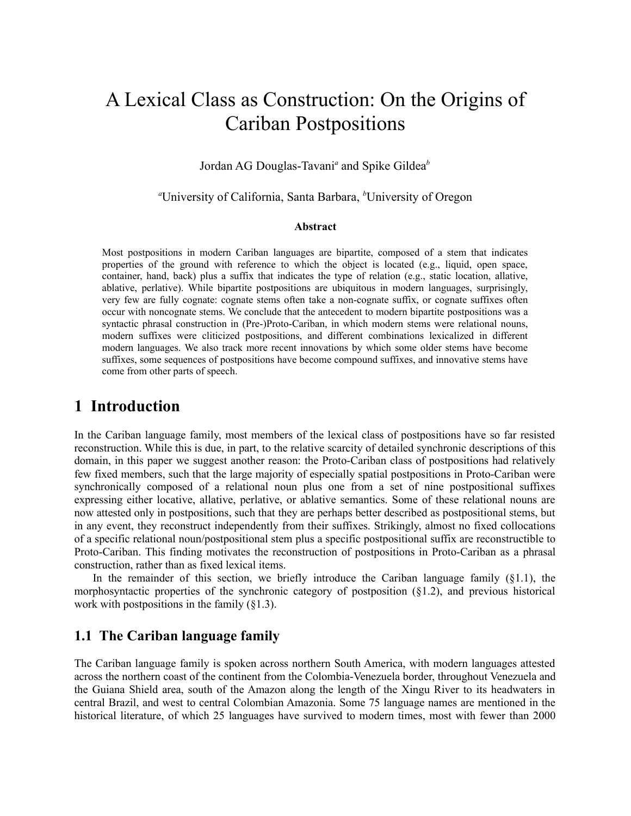# A Lexical Class as Construction: On the Origins of Cariban Postpositions

#### Jordan AG Douglas-Tavani*<sup>a</sup>* and Spike Gildea*<sup>b</sup>*

#### *<sup>a</sup>*University of California, Santa Barbara, *<sup>b</sup>*University of Oregon

#### **Abstract**

Most postpositions in modern Cariban languages are bipartite, composed of a stem that indicates properties of the ground with reference to which the object is located (e.g., liquid, open space, container, hand, back) plus a suffix that indicates the type of relation (e.g., static location, allative, ablative, perlative). While bipartite postpositions are ubiquitous in modern languages, surprisingly, very few are fully cognate: cognate stems often take a non-cognate suffix, or cognate suffixes often occur with noncognate stems. We conclude that the antecedent to modern bipartite postpositions was a syntactic phrasal construction in (Pre-)Proto-Cariban, in which modern stems were relational nouns, modern suffixes were cliticized postpositions, and different combinations lexicalized in different modern languages. We also track more recent innovations by which some older stems have become suffixes, some sequences of postpositions have become compound suffixes, and innovative stems have come from other parts of speech.

### **1 Introduction**

In the Cariban language family, most members of the lexical class of postpositions have so far resisted reconstruction. While this is due, in part, to the relative scarcity of detailed synchronic descriptions of this domain, in this paper we suggest another reason: the Proto-Cariban class of postpositions had relatively few fixed members, such that the large majority of especially spatial postpositions in Proto-Cariban were synchronically composed of a relational noun plus one from a set of nine postpositional suffixes expressing either locative, allative, perlative, or ablative semantics. Some of these relational nouns are now attested only in postpositions, such that they are perhaps better described as postpositional stems, but in any event, they reconstruct independently from their suffixes. Strikingly, almost no fixed collocations of a specific relational noun/postpositional stem plus a specific postpositional suffix are reconstructible to Proto-Cariban. This finding motivates the reconstruction of postpositions in Proto-Cariban as a phrasal construction, rather than as fixed lexical items.

In the remainder of this section, we briefly introduce the Cariban language family  $(\S1.1)$ , the morphosyntactic properties of the synchronic category of postposition  $(\S1.2)$ , and previous historical work with postpositions in the family (§1.3).

#### **1.1 The Cariban language family**

The Cariban language family is spoken across northern South America, with modern languages attested across the northern coast of the continent from the Colombia-Venezuela border, throughout Venezuela and the Guiana Shield area, south of the Amazon along the length of the Xingu River to its headwaters in central Brazil, and west to central Colombian Amazonia. Some 75 language names are mentioned in the historical literature, of which 25 languages have survived to modern times, most with fewer than 2000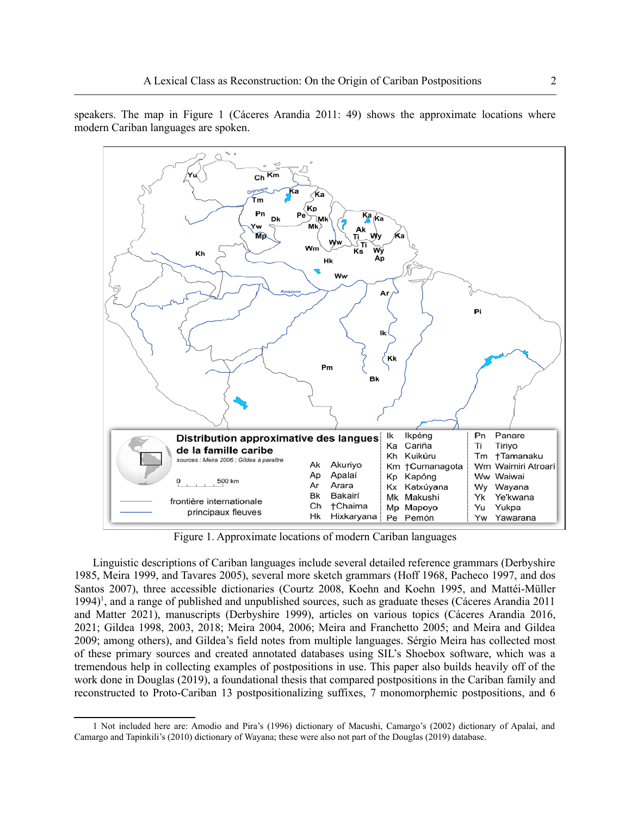speakers. The map in Figure 1 (Cáceres Arandia 2011: 49) shows the approximate locations where modern Cariban languages are spoken.



Figure 1. Approximate locations of modern Cariban languages

<span id="page-1-0"></span>Linguistic descriptions of Cariban languages include several detailed reference grammars (Derbyshire 1985, Meira 1999, and Tavares 2005), several more sketch grammars (Hoff 1968, Pacheco 1997, and dos Santos 2007), three accessible dictionaries (Courtz 2008, Koehn and Koehn 1995, and Mattéi-Müller [1](#page-1-1)994)<sup>1</sup>, and a range of published and unpublished sources, such as graduate theses (Cáceres Arandia 2011 and Matter 2021), manuscripts (Derbyshire 1999), articles on various topics (Cáceres Arandia 2016, 2021; Gildea 1998, 2003, 2018; Meira 2004, 2006; Meira and Franchetto 2005; and Meira and Gildea 2009; among others), and Gildea's field notes from multiple languages. Sérgio Meira has collected most of these primary sources and created annotated databases using SIL's Shoebox software, which was a tremendous help in collecting examples of postpositions in use. This paper also builds heavily off of the work done in Douglas (2019), a foundational thesis that compared postpositions in the Cariban family and reconstructed to Proto-Cariban 13 postpositionalizing suffixes, 7 monomorphemic postpositions, and 6

<span id="page-1-1"></span>[<sup>1</sup>](#page-1-0) Not included here are: Amodio and Pira's (1996) dictionary of Macushi, Camargo's (2002) dictionary of Apalaí, and Camargo and Tapinkili's (2010) dictionary of Wayana; these were also not part of the Douglas (2019) database.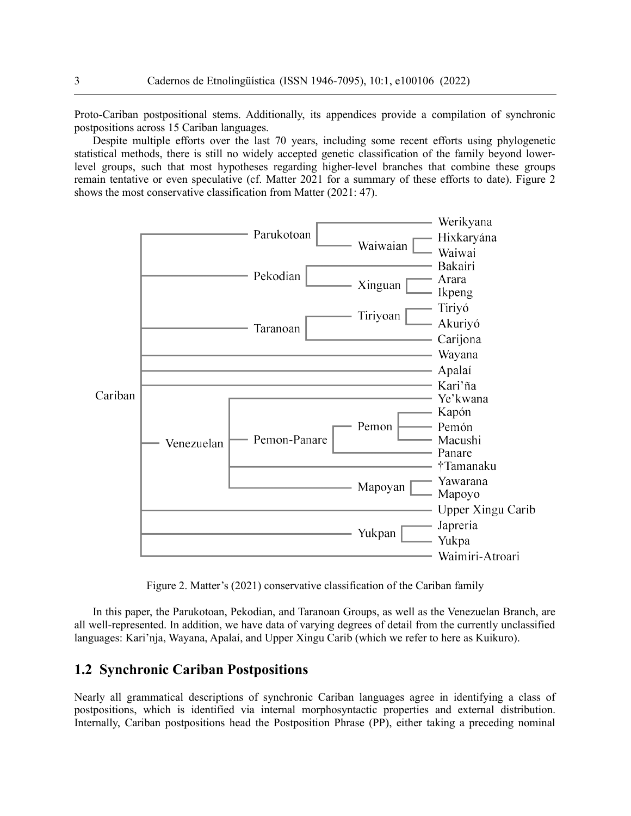Proto-Cariban postpositional stems. Additionally, its appendices provide a compilation of synchronic postpositions across 15 Cariban languages.

Despite multiple efforts over the last 70 years, including some recent efforts using phylogenetic statistical methods, there is still no widely accepted genetic classification of the family beyond lowerlevel groups, such that most hypotheses regarding higher-level branches that combine these groups remain tentative or even speculative (cf. Matter 2021 for a summary of these efforts to date). Figure 2 shows the most conservative classification from Matter (2021: 47).



Figure 2. Matter's (2021) conservative classification of the Cariban family

In this paper, the Parukotoan, Pekodian, and Taranoan Groups, as well as the Venezuelan Branch, are all well-represented. In addition, we have data of varying degrees of detail from the currently unclassified languages: Kari'nja, Wayana, Apalaí, and Upper Xingu Carib (which we refer to here as Kuikuro).

#### **1.2 Synchronic Cariban Postpositions**

Nearly all grammatical descriptions of synchronic Cariban languages agree in identifying a class of postpositions, which is identified via internal morphosyntactic properties and external distribution. Internally, Cariban postpositions head the Postposition Phrase (PP), either taking a preceding nominal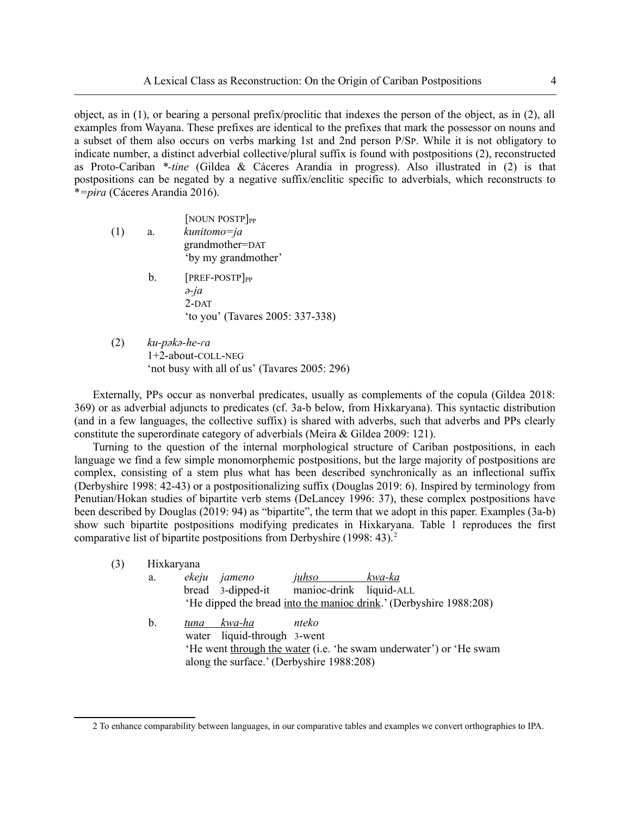object, as in (1), or bearing a personal prefix/proclitic that indexes the person of the object, as in (2), all examples from Wayana. These prefixes are identical to the prefixes that mark the possessor on nouns and a subset of them also occurs on verbs marking 1st and 2nd person P/SP. While it is not obligatory to indicate number, a distinct adverbial collective/plural suffix is found with postpositions (2), reconstructed as Proto-Cariban *\*-tine* (Gildea & Cáceres Arandia in progress). Also illustrated in (2) is that postpositions can be negated by a negative suffix/enclitic specific to adverbials, which reconstructs to \**=pɨra* (Cáceres Arandia 2016).

- [NOUN POSTP]<sub>PP</sub> (1) a. *kunitomo=ja* grandmother=DAT 'by my grandmother'
	- $b.$  [PREF-POSTP]<sub>PP</sub> *ə-ja* 2-DAT 'to you' (Tavares 2005: 337-338)
- (2) *ku-pəkə-he-ɾa* 1+2-about-COLL-NEG 'not busy with all of us' (Tavares 2005: 296)

Externally, PPs occur as nonverbal predicates, usually as complements of the copula (Gildea 2018: 369) or as adverbial adjuncts to predicates (cf. 3a-b below, from Hixkaryana). This syntactic distribution (and in a few languages, the collective suffix) is shared with adverbs, such that adverbs and PPs clearly constitute the superordinate category of adverbials (Meira & Gildea 2009: 121).

Turning to the question of the internal morphological structure of Cariban postpositions, in each language we find a few simple monomorphemic postpositions, but the large majority of postpositions are complex, consisting of a stem plus what has been described synchronically as an inflectional suffix (Derbyshire 1998: 42-43) or a postpositionalizing suffix (Douglas 2019: 6). Inspired by terminology from Penutian/Hokan studies of bipartite verb stems (DeLancey 1996: 37), these complex postpositions have been described by Douglas (2019: 94) as "bipartite", the term that we adopt in this paper. Examples (3a-b) show such bipartite postpositions modifying predicates in Hixkaryana. Table 1 reproduces the first comparative list of bipartite postpositions from Derbyshire (1998: 43).<sup>[2](#page-3-1)</sup>

<span id="page-3-0"></span>

| Hixkaryana |                                                                                                                 |
|------------|-----------------------------------------------------------------------------------------------------------------|
| a.         | ekeju jameno<br><i>juhso</i><br>kwa-ka                                                                          |
|            | bread 3-dipped-it<br>manioc-drink liquid-ALL                                                                    |
|            | 'He dipped the bread into the manioc drink.' (Derbyshire 1988:208)                                              |
| b.         | kwa-ha<br>nteko<br>tuna                                                                                         |
|            | water liquid-through 3-went                                                                                     |
|            | 'He went through the water (i.e. 'he swam underwater') or 'He swam<br>along the surface.' (Derbyshire 1988:208) |
|            |                                                                                                                 |

<span id="page-3-1"></span>[<sup>2</sup>](#page-3-0) To enhance comparability between languages, in our comparative tables and examples we convert orthographies to IPA.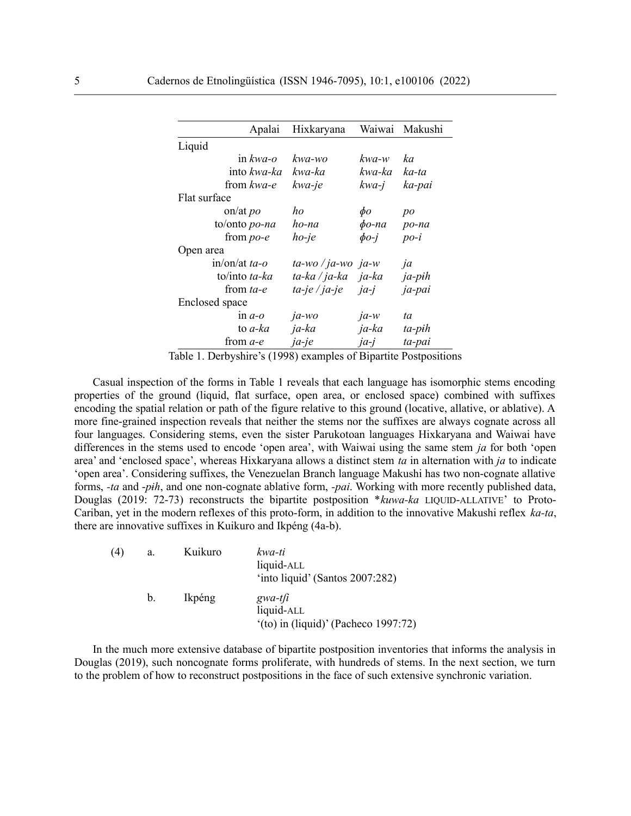| Apalai               | Hixkaryana                 | Waiwai      | Makushi |
|----------------------|----------------------------|-------------|---------|
| Liquid               |                            |             |         |
| in $kwa$ -o          | kwa-wo                     | kwa-w       | ka      |
| into kwa-ka          | kwa-ka                     | kwa-ka      | ka-ta   |
| from kwa-e           | kwa-je                     | kwa-j       | ka-pai  |
| Flat surface         |                            |             |         |
| on/at $po$           | ho                         | $\phi$ o    | po      |
| to/onto <i>po-na</i> | ho-na                      | $\phi$ o-na | po-na   |
| from $po$ - $e$      | $ho$ -je                   | $\phi$ o-j  | $po-i$  |
| Open area            |                            |             |         |
| in/on/at $ta-o$      | $ta$ -wo / ja-wo ja-w      |             | ja      |
| to/into ta-ka        | ta-ka / ja-ka <i>ja-ka</i> |             | ja-pih  |
| from ta-e            | ta-je / ja-je              | <i>ja-j</i> | ja-pai  |
| Enclosed space       |                            |             |         |
| $\ln a$ -o           | $ja-wo$                    | $ja-w$      | ta      |
| to <i>a-ka</i>       | ja-ka                      | ja-ka       | ta-pih  |
| from <i>a-e</i>      | $ja$ -je                   | $ja-j$      | ta-pai  |

Table 1. Derbyshire's (1998) examples of Bipartite Postpositions

Casual inspection of the forms in Table 1 reveals that each language has isomorphic stems encoding properties of the ground (liquid, flat surface, open area, or enclosed space) combined with suffixes encoding the spatial relation or path of the figure relative to this ground (locative, allative, or ablative). A more fine-grained inspection reveals that neither the stems nor the suffixes are always cognate across all four languages. Considering stems, even the sister Parukotoan languages Hixkaryana and Waiwai have differences in the stems used to encode 'open area', with Waiwai using the same stem *ja* for both 'open area' and 'enclosed space', whereas Hixkaryana allows a distinct stem *ta* in alternation with *ja* to indicate 'open area'. Considering suffixes, the Venezuelan Branch language Makushi has two non-cognate allative forms, *-ta* and -*pɨh*, and one non-cognate ablative form, *-pai*. Working with more recently published data, Douglas (2019: 72-73) reconstructs the bipartite postposition \**kuwa-ka* LIQUID-ALLATIVE' to Proto-Cariban, yet in the modern reflexes of this proto-form, in addition to the innovative Makushi reflex *ka-ta*, there are innovative suffixes in Kuikuro and Ikpéng (4a-b).

| (4) | a.      | Kuikuro | kwa-ti<br>liquid-ALL<br>'into liquid' (Santos 2007:282)           |
|-----|---------|---------|-------------------------------------------------------------------|
|     | $b_{-}$ | Ikpéng  | $gwa-t/i$<br>liquid-ALL<br>$'(to)$ in (liquid)' (Pacheco 1997:72) |

In the much more extensive database of bipartite postposition inventories that informs the analysis in Douglas (2019), such noncognate forms proliferate, with hundreds of stems. In the next section, we turn to the problem of how to reconstruct postpositions in the face of such extensive synchronic variation.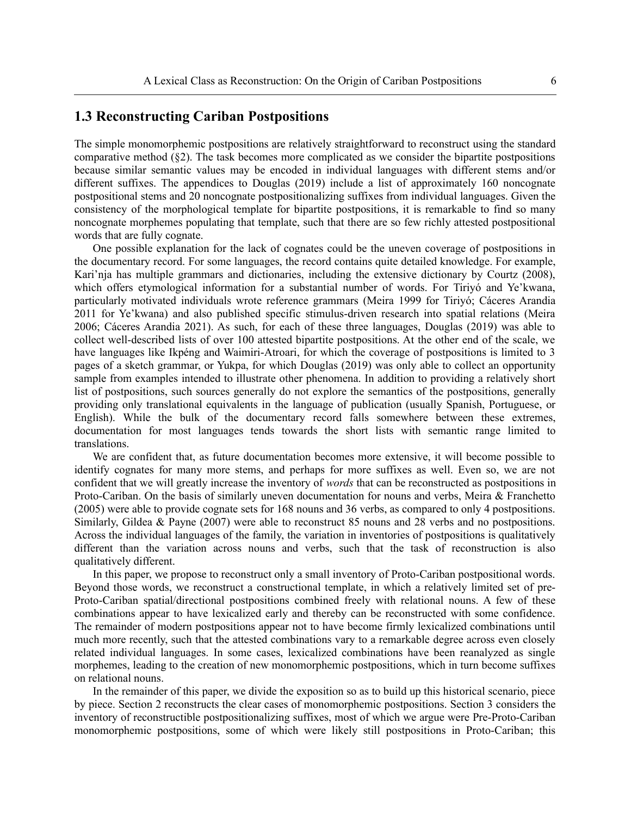#### **1.3 Reconstructing Cariban Postpositions**

The simple monomorphemic postpositions are relatively straightforward to reconstruct using the standard comparative method (§2). The task becomes more complicated as we consider the bipartite postpositions because similar semantic values may be encoded in individual languages with different stems and/or different suffixes. The appendices to Douglas (2019) include a list of approximately 160 noncognate postpositional stems and 20 noncognate postpositionalizing suffixes from individual languages. Given the consistency of the morphological template for bipartite postpositions, it is remarkable to find so many noncognate morphemes populating that template, such that there are so few richly attested postpositional words that are fully cognate.

One possible explanation for the lack of cognates could be the uneven coverage of postpositions in the documentary record. For some languages, the record contains quite detailed knowledge. For example, Kari'nja has multiple grammars and dictionaries, including the extensive dictionary by Courtz (2008), which offers etymological information for a substantial number of words. For Tiriyó and Ye'kwana, particularly motivated individuals wrote reference grammars (Meira 1999 for Tiriyó; Cáceres Arandia 2011 for Ye'kwana) and also published specific stimulus-driven research into spatial relations (Meira 2006; Cáceres Arandia 2021). As such, for each of these three languages, Douglas (2019) was able to collect well-described lists of over 100 attested bipartite postpositions. At the other end of the scale, we have languages like Ikpéng and Waimiri-Atroari, for which the coverage of postpositions is limited to 3 pages of a sketch grammar, or Yukpa, for which Douglas (2019) was only able to collect an opportunity sample from examples intended to illustrate other phenomena. In addition to providing a relatively short list of postpositions, such sources generally do not explore the semantics of the postpositions, generally providing only translational equivalents in the language of publication (usually Spanish, Portuguese, or English). While the bulk of the documentary record falls somewhere between these extremes, documentation for most languages tends towards the short lists with semantic range limited to translations.

We are confident that, as future documentation becomes more extensive, it will become possible to identify cognates for many more stems, and perhaps for more suffixes as well. Even so, we are not confident that we will greatly increase the inventory of *words* that can be reconstructed as postpositions in Proto-Cariban. On the basis of similarly uneven documentation for nouns and verbs, Meira & Franchetto (2005) were able to provide cognate sets for 168 nouns and 36 verbs, as compared to only 4 postpositions. Similarly, Gildea & Payne (2007) were able to reconstruct 85 nouns and 28 verbs and no postpositions. Across the individual languages of the family, the variation in inventories of postpositions is qualitatively different than the variation across nouns and verbs, such that the task of reconstruction is also qualitatively different.

In this paper, we propose to reconstruct only a small inventory of Proto-Cariban postpositional words. Beyond those words, we reconstruct a constructional template, in which a relatively limited set of pre-Proto-Cariban spatial/directional postpositions combined freely with relational nouns. A few of these combinations appear to have lexicalized early and thereby can be reconstructed with some confidence. The remainder of modern postpositions appear not to have become firmly lexicalized combinations until much more recently, such that the attested combinations vary to a remarkable degree across even closely related individual languages. In some cases, lexicalized combinations have been reanalyzed as single morphemes, leading to the creation of new monomorphemic postpositions, which in turn become suffixes on relational nouns.

In the remainder of this paper, we divide the exposition so as to build up this historical scenario, piece by piece. Section 2 reconstructs the clear cases of monomorphemic postpositions. Section 3 considers the inventory of reconstructible postpositionalizing suffixes, most of which we argue were Pre-Proto-Cariban monomorphemic postpositions, some of which were likely still postpositions in Proto-Cariban; this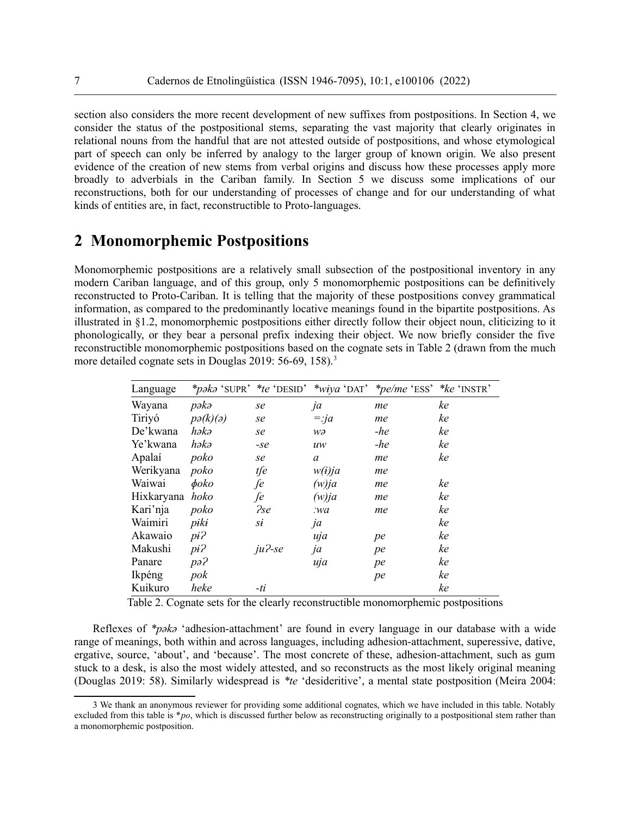section also considers the more recent development of new suffixes from postpositions. In Section 4, we consider the status of the postpositional stems, separating the vast majority that clearly originates in relational nouns from the handful that are not attested outside of postpositions, and whose etymological part of speech can only be inferred by analogy to the larger group of known origin. We also present evidence of the creation of new stems from verbal origins and discuss how these processes apply more broadly to adverbials in the Cariban family. In Section 5 we discuss some implications of our reconstructions, both for our understanding of processes of change and for our understanding of what kinds of entities are, in fact, reconstructible to Proto-languages.

### **2 Monomorphemic Postpositions**

Monomorphemic postpositions are a relatively small subsection of the postpositional inventory in any modern Cariban language, and of this group, only 5 monomorphemic postpositions can be definitively reconstructed to Proto-Cariban. It is telling that the majority of these postpositions convey grammatical information, as compared to the predominantly locative meanings found in the bipartite postpositions. As illustrated in §1.2, monomorphemic postpositions either directly follow their object noun, cliticizing to it phonologically, or they bear a personal prefix indexing their object. We now briefly consider the five reconstructible monomorphemic postpositions based on the cognate sets in Table 2 (drawn from the much more detailed cognate sets in Douglas 2019: 56-69, 158).<sup>[3](#page-6-1)</sup>

<span id="page-6-0"></span>

| Language   |                          |            |          | <i>*paka</i> 'SUPR' <i>*te</i> 'DESID' <i>*wiya</i> 'DAT' <i>*pe/me</i> 'ESS' <i>*ke</i> 'INSTR' |    |
|------------|--------------------------|------------|----------|--------------------------------------------------------------------------------------------------|----|
| Wayana     | pəkə                     | se         | ja       | me                                                                                               | ke |
| Tiriyó     | $p\partial(k)(\partial)$ | se         | $=$ :ja  | me                                                                                               | ke |
| De'kwana   | həkə                     | se         | wə       | $-he$                                                                                            | ke |
| Ye'kwana   | həkə                     | $-se$      | uw       | $-he$                                                                                            | ke |
| Apalaí     | poko                     | se         | $\alpha$ | me                                                                                               | ke |
| Werikyana  | poko                     | tfe        | w(i)ja   | me                                                                                               |    |
| Waiwai     | $\phi$ oko               | fe         | $(w)$ ja | me                                                                                               | ke |
| Hixkaryana | hoko                     | fe         | $(w)$ ja | me                                                                                               | ke |
| Kari'nja   | poko                     | <i>Pse</i> | .wa      | me                                                                                               | ke |
| Waimiri    | piki                     | sį         | ja       |                                                                                                  | ke |
| Akawaio    | $pi$ ?                   |            | uja      | pe                                                                                               | ke |
| Makushi    | $pi$ ?                   | $ju$ ?-se  | ja       | pe                                                                                               | ke |
| Panare     | pa <sup>2</sup>          |            | uja      | pe                                                                                               | ke |
| Ikpéng     | pok                      |            |          | pe                                                                                               | ke |
| Kuikuro    | heke                     | -ti        |          |                                                                                                  | ke |

Table 2. Cognate sets for the clearly reconstructible monomorphemic postpositions

Reflexes of *\*pəkə* 'adhesion-attachment' are found in every language in our database with a wide range of meanings, both within and across languages, including adhesion-attachment, superessive, dative, ergative, source, 'about', and 'because'. The most concrete of these, adhesion-attachment, such as gum stuck to a desk, is also the most widely attested, and so reconstructs as the most likely original meaning (Douglas 2019: 58). Similarly widespread is *\*te* 'desideritive', a mental state postposition (Meira 2004:

<span id="page-6-1"></span>[<sup>3</sup>](#page-6-0) We thank an anonymous reviewer for providing some additional cognates, which we have included in this table. Notably excluded from this table is \**po*, which is discussed further below as reconstructing originally to a postpositional stem rather than a monomorphemic postposition.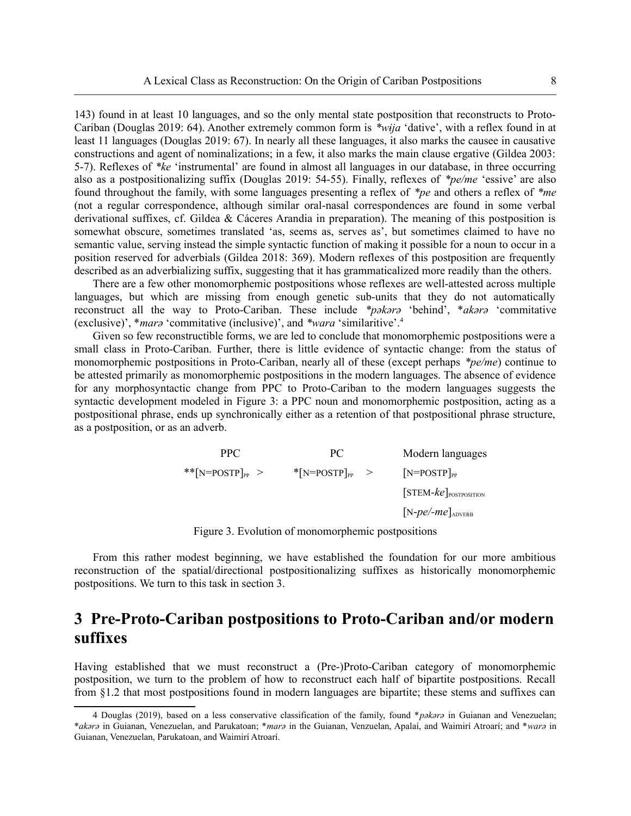143) found in at least 10 languages, and so the only mental state postposition that reconstructs to Proto-Cariban (Douglas 2019: 64). Another extremely common form is *\*wɨja* 'dative', with a reflex found in at least 11 languages (Douglas 2019: 67). In nearly all these languages, it also marks the causee in causative constructions and agent of nominalizations; in a few, it also marks the main clause ergative (Gildea 2003: 5-7). Reflexes of *\*ke* 'instrumental' are found in almost all languages in our database, in three occurring also as a postpositionalizing suffix (Douglas 2019: 54-55). Finally, reflexes of *\*pe/me* 'essive' are also found throughout the family, with some languages presenting a reflex of *\*pe* and others a reflex of *\*me* (not a regular correspondence, although similar oral-nasal correspondences are found in some verbal derivational suffixes, cf. Gildea & Cáceres Arandia in preparation). The meaning of this postposition is somewhat obscure, sometimes translated 'as, seems as, serves as', but sometimes claimed to have no semantic value, serving instead the simple syntactic function of making it possible for a noun to occur in a position reserved for adverbials (Gildea 2018: 369). Modern reflexes of this postposition are frequently described as an adverbializing suffix, suggesting that it has grammaticalized more readily than the others.

There are a few other monomorphemic postpositions whose reflexes are well-attested across multiple languages, but which are missing from enough genetic sub-units that they do not automatically reconstruct all the way to Proto-Cariban. These include *\*pəkərə* 'behind', \**akərə* 'commitative (exclusive)', \**marə* 'commitative (inclusive)', and *\*wara* 'similaritive'.[4](#page-7-1)

Given so few reconstructible forms, we are led to conclude that monomorphemic postpositions were a small class in Proto-Cariban. Further, there is little evidence of syntactic change: from the status of monomorphemic postpositions in Proto-Cariban, nearly all of these (except perhaps *\*pe/me*) continue to be attested primarily as monomorphemic postpositions in the modern languages. The absence of evidence for any morphosyntactic change from PPC to Proto-Cariban to the modern languages suggests the syntactic development modeled in Figure 3: a PPC noun and monomorphemic postposition, acting as a postpositional phrase, ends up synchronically either as a retention of that postpositional phrase structure, as a postposition, or as an adverb.

<span id="page-7-0"></span>

| PPC.                  | PC.                                      | Modern languages                    |
|-----------------------|------------------------------------------|-------------------------------------|
| ** $[N=POSTP]_{PP} >$ | $\sqrt[*]{\text{N=POSTP}}_{\text{PP}}$ > | $[N=POSTP]_{PP}$                    |
|                       |                                          | $[STEM-ke]postposition$             |
|                       |                                          | $[N-pe$ /- $me$ ] <sub>ADVERB</sub> |
|                       |                                          |                                     |

Figure 3. Evolution of monomorphemic postpositions

From this rather modest beginning, we have established the foundation for our more ambitious reconstruction of the spatial/directional postpositionalizing suffixes as historically monomorphemic postpositions. We turn to this task in section 3.

# **3 Pre-Proto-Cariban postpositions to Proto-Cariban and/or modern suffixes**

Having established that we must reconstruct a (Pre-)Proto-Cariban category of monomorphemic postposition, we turn to the problem of how to reconstruct each half of bipartite postpositions. Recall from §1.2 that most postpositions found in modern languages are bipartite; these stems and suffixes can

<span id="page-7-1"></span>[<sup>4</sup>](#page-7-0) Douglas (2019), based on a less conservative classification of the family, found \**pəkərə* in Guianan and Venezuelan; \**akərə* in Guianan, Venezuelan, and Parukatoan; \**marə* in the Guianan, Venzuelan, Apalaí, and Waimirí Atroarí; and \**warə* in Guianan, Venezuelan, Parukatoan, and Waimirí Atroarí.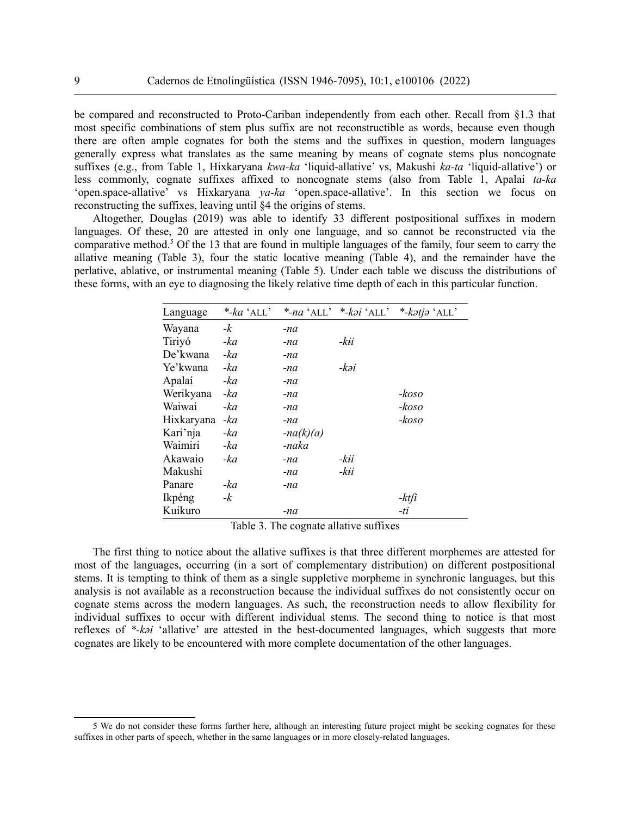be compared and reconstructed to Proto-Cariban independently from each other. Recall from §1.3 that most specific combinations of stem plus suffix are not reconstructible as words, because even though there are often ample cognates for both the stems and the suffixes in question, modern languages generally express what translates as the same meaning by means of cognate stems plus noncognate suffixes (e.g., from Table 1, Hixkaryana *kwa-ka* 'liquid-allative' vs, Makushi *ka-ta* 'liquid-allative') or less commonly, cognate suffixes affixed to noncognate stems (also from Table 1, Apalaí *ta-ka* 'open.space-allative' vs Hixkaryana *ya-ka* 'open.space-allative'. In this section we focus on reconstructing the suffixes, leaving until §4 the origins of stems.

Altogether, Douglas (2019) was able to identify 33 different postpositional suffixes in modern languages. Of these, 20 are attested in only one language, and so cannot be reconstructed via the comparative method.<sup>[5](#page-8-1)</sup> Of the 13 that are found in multiple languages of the family, four seem to carry the allative meaning (Table 3), four the static locative meaning (Table 4), and the remainder have the perlative, ablative, or instrumental meaning (Table 5). Under each table we discuss the distributions of these forms, with an eye to diagnosing the likely relative time depth of each in this particular function.

<span id="page-8-0"></span>

| Language   | $*$ -ka 'ALL' |             | *-na 'ALL' *-kəi 'ALL' | *-katja 'ALL' |
|------------|---------------|-------------|------------------------|---------------|
| Wayana     | $-k$          | -na         |                        |               |
| Tiriyó     | -ka           | -na         | -kii                   |               |
| De'kwana   | -ka           | -na         |                        |               |
| Ye'kwana   | -ka           | -na         | -kəi                   |               |
| Apalaí     | -ka           | -na         |                        |               |
| Werikyana  | -ka           | -na         |                        | -koso         |
| Waiwai     | -ka           | -na         |                        | -koso         |
| Hixkaryana | -ka           | -na         |                        | $-koso$       |
| Kari'nja   | -ka           | $-na(k)(a)$ |                        |               |
| Waimiri    | -ka           | -naka       |                        |               |
| Akawaio    | -ka           | -na         | -kii                   |               |
| Makushi    |               | -na         | -kii                   |               |
| Panare     | -ka           | -na         |                        |               |
| Ikpéng     | -k            |             |                        | -ktfi         |
| Kuikuro    |               | -na         |                        | $-ti$         |

Table 3. The cognate allative suffixes

The first thing to notice about the allative suffixes is that three different morphemes are attested for most of the languages, occurring (in a sort of complementary distribution) on different postpositional stems. It is tempting to think of them as a single suppletive morpheme in synchronic languages, but this analysis is not available as a reconstruction because the individual suffixes do not consistently occur on cognate stems across the modern languages. As such, the reconstruction needs to allow flexibility for individual suffixes to occur with different individual stems. The second thing to notice is that most reflexes of *\*-kəi* 'allative' are attested in the best-documented languages, which suggests that more cognates are likely to be encountered with more complete documentation of the other languages.

<span id="page-8-1"></span>[<sup>5</sup>](#page-8-0) We do not consider these forms further here, although an interesting future project might be seeking cognates for these suffixes in other parts of speech, whether in the same languages or in more closely-related languages.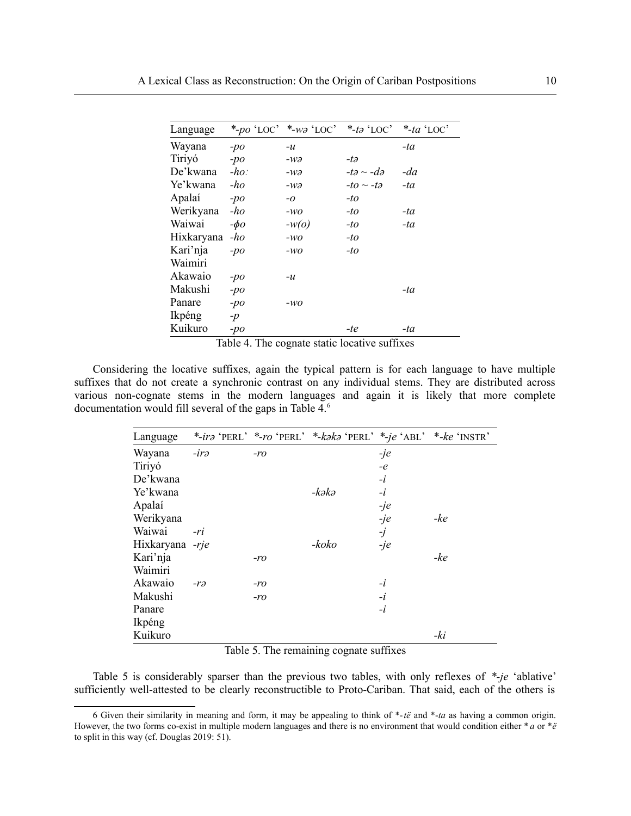| Language   |           | *-po 'LOC' *-wə 'LOC' | *-tə $`$ LOC'                | *-ta 'LOC' |
|------------|-----------|-----------------------|------------------------------|------------|
| Wayana     | $-po$     | $-u$                  |                              | -ta        |
| Tiriyó     | $-po$     | $-w\partial$          | -tə                          |            |
| De'kwana   | $-ho$ :   | $-wa$                 | $-t\partial \sim -d\partial$ | $-da$      |
| Ye'kwana   | -ho       | $-wa$                 | $-to \sim -t_o$              | $-ta$      |
| Apalaí     | $-po$     | $-0$                  | -to                          |            |
| Werikyana  | $-h$ o    | $-WO$                 | -to                          | -ta        |
| Waiwai     | $-\phi$ o | $-w(o)$               | -to                          | -ta        |
| Hixkaryana | $-ho$     | $-WO$                 | -to                          |            |
| Kari'nja   | $-po$     | $-WO$                 | -to                          |            |
| Waimiri    |           |                       |                              |            |
| Akawaio    | $-po$     | $-u$                  |                              |            |
| Makushi    | $-po$     |                       |                              | -ta        |
| Panare     | $-po$     | $-wo$                 |                              |            |
| Ikpéng     | $-p$      |                       |                              |            |
| Kuikuro    | $-po$     |                       | -te                          | -ta        |

<span id="page-9-0"></span>Table 4. The cognate static locative suffixes

Considering the locative suffixes, again the typical pattern is for each language to have multiple suffixes that do not create a synchronic contrast on any individual stems. They are distributed across various non-cognate stems in the modern languages and again it is likely that more complete documentation would fill several of the gaps in Table 4.<sup>[6](#page-9-1)</sup>

| Language        |              |       | *-irə 'PERL' *-ro 'PERL' *-kəkə 'PERL' *-je 'ABL' *-ke 'INSTR' |           |       |
|-----------------|--------------|-------|----------------------------------------------------------------|-----------|-------|
| Wayana          | $-ira$       | $-ro$ |                                                                | $-je$     |       |
| Tiriyó          |              |       |                                                                | $-e$      |       |
| De'kwana        |              |       |                                                                | $-i$      |       |
| Ye'kwana        |              |       | -kəkə                                                          | $-i$      |       |
| Apalaí          |              |       |                                                                | $-je$     |       |
| Werikyana       |              |       |                                                                | $-je$     | $-ke$ |
| Waiwai          | -ri          |       |                                                                | $\dot{J}$ |       |
| Hixkaryana -rje |              |       | -koko                                                          | $-je$     |       |
| Kari'nja        |              | -ro   |                                                                |           | -ke   |
| Waimiri         |              |       |                                                                |           |       |
| Akawaio         | $-r\partial$ | -ro   |                                                                | $-i$      |       |
| Makushi         |              | -ro   |                                                                | $-i$      |       |
| Panare          |              |       |                                                                | $-i$      |       |
| Ikpéng          |              |       |                                                                |           |       |
| Kuikuro         |              |       |                                                                |           | -ki   |

Table 5. The remaining cognate suffixes

Table 5 is considerably sparser than the previous two tables, with only reflexes of *\*-je* 'ablative' sufficiently well-attested to be clearly reconstructible to Proto-Cariban. That said, each of the others is

<span id="page-9-1"></span>[<sup>6</sup>](#page-9-0) Given their similarity in meaning and form, it may be appealing to think of \*-*të* and \*-*ta* as having a common origin. However, the two forms co-exist in multiple modern languages and there is no environment that would condition either \* *a* or \**ë* to split in this way (cf. Douglas 2019: 51).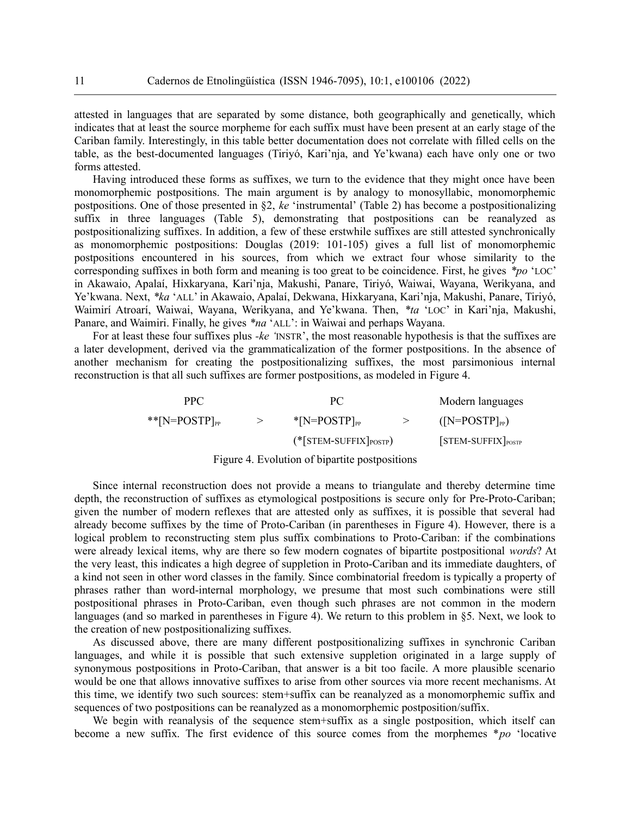attested in languages that are separated by some distance, both geographically and genetically, which indicates that at least the source morpheme for each suffix must have been present at an early stage of the Cariban family. Interestingly, in this table better documentation does not correlate with filled cells on the table, as the best-documented languages (Tiriyó, Kari'nja, and Ye'kwana) each have only one or two forms attested.

Having introduced these forms as suffixes, we turn to the evidence that they might once have been monomorphemic postpositions. The main argument is by analogy to monosyllabic, monomorphemic postpositions. One of those presented in §2, *ke* 'instrumental' (Table 2) has become a postpositionalizing suffix in three languages (Table 5), demonstrating that postpositions can be reanalyzed as postpositionalizing suffixes. In addition, a few of these erstwhile suffixes are still attested synchronically as monomorphemic postpositions: Douglas (2019: 101-105) gives a full list of monomorphemic postpositions encountered in his sources, from which we extract four whose similarity to the corresponding suffixes in both form and meaning is too great to be coincidence. First, he gives *\*po* 'LOC' in Akawaio, Apalaí, Hixkaryana, Kari'nja, Makushi, Panare, Tiriyó, Waiwai, Wayana, Werikyana, and Ye'kwana. Next, *\*ka* 'ALL' in Akawaio, Apalaí, Dekwana, Hixkaryana, Kari'nja, Makushi, Panare, Tiriyó, Waimirí Atroarí, Waiwai, Wayana, Werikyana, and Ye'kwana. Then, *\*ta* 'LOC' in Kari'nja, Makushi, Panare, and Waimiri. Finally, he gives *\*na* 'ALL': in Waiwai and perhaps Wayana.

For at least these four suffixes plus *-ke '*INSTR', the most reasonable hypothesis is that the suffixes are a later development, derived via the grammaticalization of the former postpositions. In the absence of another mechanism for creating the postpositionalizing suffixes, the most parsimonious internal reconstruction is that all such suffixes are former postpositions, as modeled in Figure 4.

| PPC.                         | PС                                 | Modern languages                 |
|------------------------------|------------------------------------|----------------------------------|
| $**$ [N=POSTP] <sub>PP</sub> | $\text{*}$ [N=POSTP] <sub>PP</sub> | $(\text{[N=POSTP]}_{\text{PP}})$ |
|                              | $(*[STEM-SUFFIX]_{POSTP})$         | $[STEM-SUFFIX]_{POSTP}$          |

#### Figure 4. Evolution of bipartite postpositions

Since internal reconstruction does not provide a means to triangulate and thereby determine time depth, the reconstruction of suffixes as etymological postpositions is secure only for Pre-Proto-Cariban; given the number of modern reflexes that are attested only as suffixes, it is possible that several had already become suffixes by the time of Proto-Cariban (in parentheses in Figure 4). However, there is a logical problem to reconstructing stem plus suffix combinations to Proto-Cariban: if the combinations were already lexical items, why are there so few modern cognates of bipartite postpositional *words*? At the very least, this indicates a high degree of suppletion in Proto-Cariban and its immediate daughters, of a kind not seen in other word classes in the family. Since combinatorial freedom is typically a property of phrases rather than word-internal morphology, we presume that most such combinations were still postpositional phrases in Proto-Cariban, even though such phrases are not common in the modern languages (and so marked in parentheses in Figure 4). We return to this problem in §5. Next, we look to the creation of new postpositionalizing suffixes.

As discussed above, there are many different postpositionalizing suffixes in synchronic Cariban languages, and while it is possible that such extensive suppletion originated in a large supply of synonymous postpositions in Proto-Cariban, that answer is a bit too facile. A more plausible scenario would be one that allows innovative suffixes to arise from other sources via more recent mechanisms. At this time, we identify two such sources: stem+suffix can be reanalyzed as a monomorphemic suffix and sequences of two postpositions can be reanalyzed as a monomorphemic postposition/suffix.

We begin with reanalysis of the sequence stem+suffix as a single postposition, which itself can become a new suffix. The first evidence of this source comes from the morphemes \**po* 'locative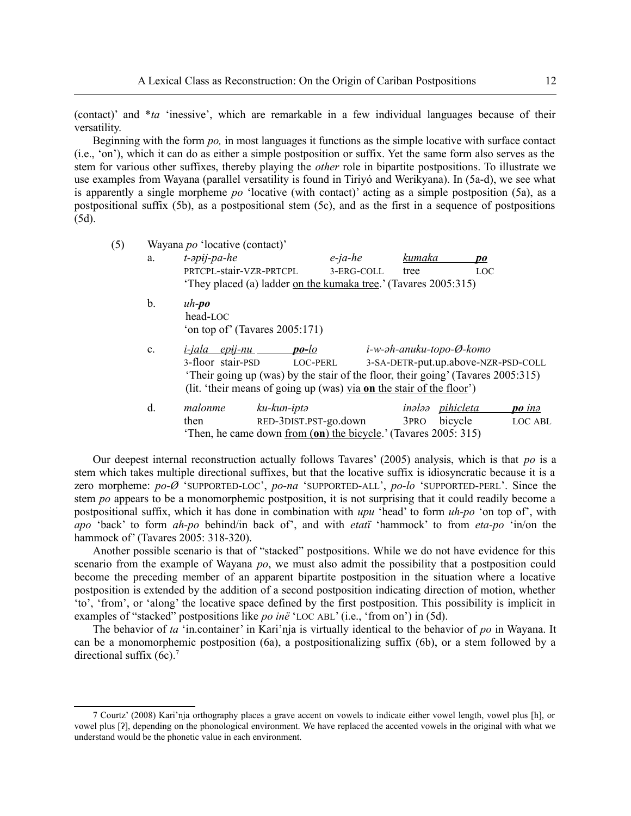(contact)' and \**ta* 'inessive', which are remarkable in a few individual languages because of their versatility.

Beginning with the form *po,* in most languages it functions as the simple locative with surface contact (i.e., 'on'), which it can do as either a simple postposition or suffix. Yet the same form also serves as the stem for various other suffixes, thereby playing the *other* role in bipartite postpositions. To illustrate we use examples from Wayana (parallel versatility is found in Tiriyó and Werikyana). In (5a-d), we see what is apparently a single morpheme *po* 'locative (with contact)' acting as a simple postposition (5a), as a postpositional suffix (5b), as a postpositional stem (5c), and as the first in a sequence of postpositions (5d).

(5) Wayana *po* 'locative (contact)'

| a. | $t$ - $\partial$ pij- $pa$ - $he$ |                                                                                  | $e$ -ja-he            | kumaka           | po                       |                                     |
|----|-----------------------------------|----------------------------------------------------------------------------------|-----------------------|------------------|--------------------------|-------------------------------------|
|    | PRTCPL-stair-VZR-PRTCPL           |                                                                                  | 3-ERG-COLL            | tree             |                          | <b>LOC</b>                          |
|    |                                   | 'They placed (a) ladder on the kumaka tree.' (Tavares 2005:315)                  |                       |                  |                          |                                     |
| b. | $uh-po$                           |                                                                                  |                       |                  |                          |                                     |
|    | head-LOC                          |                                                                                  |                       |                  |                          |                                     |
|    |                                   | 'on top of' (Tavares 2005:171)                                                   |                       |                  |                          |                                     |
| c. | $epij-nu$<br><i>i-jala</i>        | $po$ -lo                                                                         |                       |                  | i-w-əh-anuku-topo-Ø-komo |                                     |
|    | 3-floor stair-PSD                 | LOC-PERL                                                                         |                       |                  |                          | 3-SA-DETR-put.up.above-NZR-PSD-COLL |
|    |                                   | 'Their going up (was) by the stair of the floor, their going' (Tavares 2005:315) |                       |                  |                          |                                     |
|    |                                   | (lit. 'their means of going up (was) via on the stair of the floor')             |                       |                  |                          |                                     |
| d. | malonme                           | ku-kun-iptə                                                                      |                       | inələə           | <u>pihicleta</u>         | po ina                              |
|    | then                              |                                                                                  | RED-3DIST.PST-go.down | 3 <sub>PRO</sub> | bicycle                  | LOC ABL                             |
|    |                                   | 'Then, he came down <u>from (on) the bicycle</u> .' (Tavares 2005: 315)          |                       |                  |                          |                                     |

Our deepest internal reconstruction actually follows Tavares' (2005) analysis, which is that *po* is a stem which takes multiple directional suffixes, but that the locative suffix is idiosyncratic because it is a zero morpheme: *po-Ø* 'SUPPORTED-LOC', *po-na* 'SUPPORTED-ALL', *po-lo* 'SUPPORTED-PERL'. Since the stem *po* appears to be a monomorphemic postposition, it is not surprising that it could readily become a postpositional suffix, which it has done in combination with *upu* 'head' to form *uh-po* 'on top of', with *apo* 'back' to form *ah-po* behind/in back of', and with *etatï* 'hammock' to from *eta-po* 'in/on the hammock of' (Tavares 2005: 318-320).

Another possible scenario is that of "stacked" postpositions. While we do not have evidence for this scenario from the example of Wayana *po*, we must also admit the possibility that a postposition could become the preceding member of an apparent bipartite postposition in the situation where a locative postposition is extended by the addition of a second postposition indicating direction of motion, whether 'to', 'from', or 'along' the locative space defined by the first postposition. This possibility is implicit in examples of "stacked" postpositions like *po inë* 'LOC ABL' (i.e., 'from on') in (5d).

<span id="page-11-0"></span>The behavior of *ta* 'in.container' in Kari'nja is virtually identical to the behavior of *po* in Wayana. It can be a monomorphemic postposition (6a), a postpositionalizing suffix (6b), or a stem followed by a directional suffix  $(6c)$ .<sup>[7](#page-11-1)</sup>

<span id="page-11-1"></span>[<sup>7</sup>](#page-11-0) Courtz' (2008) Kari'nja orthography places a grave accent on vowels to indicate either vowel length, vowel plus [h], or vowel plus [ʔ], depending on the phonological environment. We have replaced the accented vowels in the original with what we understand would be the phonetic value in each environment.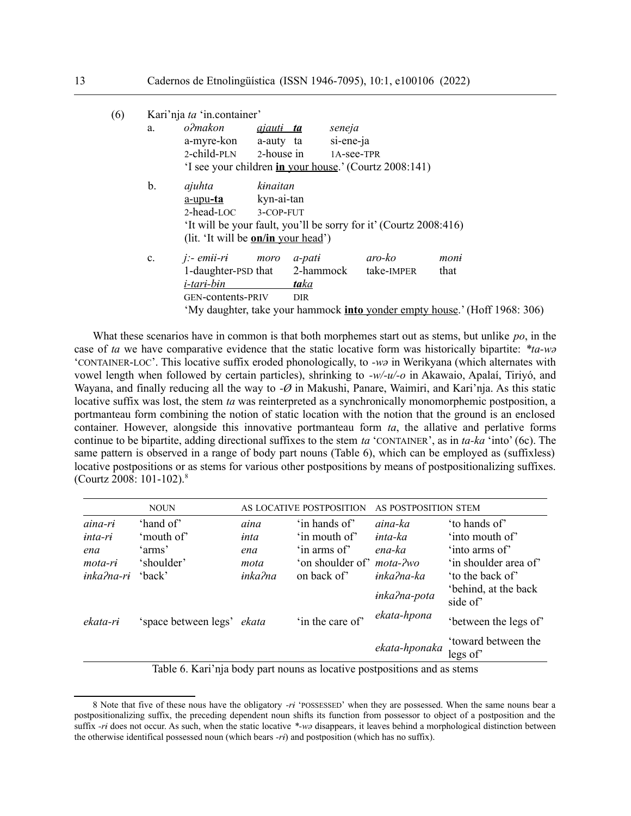| (6) |    | Kari'nja ta 'in.container'                 |                  |            |            |                                                                                   |      |  |
|-----|----|--------------------------------------------|------------------|------------|------------|-----------------------------------------------------------------------------------|------|--|
|     | a. | o?makon                                    | <u>ajauti ta</u> |            | seneja     |                                                                                   |      |  |
|     |    | a-myre-kon a-auty ta                       |                  |            | si-ene-ja  |                                                                                   |      |  |
|     |    | $2$ -child-PLN $2$ -house in               |                  |            | 1A-see-TPR |                                                                                   |      |  |
|     |    |                                            |                  |            |            | 'I see your children in your house.' (Courtz 2008:141)                            |      |  |
|     | b. | ajuhta                                     | kinaitan         |            |            |                                                                                   |      |  |
|     |    | <u>a-upu<b>-ta</b></u>                     | kyn-ai-tan       |            |            |                                                                                   |      |  |
|     |    | 2-head-LOC 3-COP-FUT                       |                  |            |            |                                                                                   |      |  |
|     |    |                                            |                  |            |            | 'It will be your fault, you'll be sorry for it' (Courtz 2008:416)                 |      |  |
|     |    | (lit. 'It will be <b>on/in</b> your head') |                  |            |            |                                                                                   |      |  |
|     | c. | $i$ :- emii-ri moro                        |                  | a-pati     |            | aro-ko                                                                            | moni |  |
|     |    | 1-daughter-PSD that 2-hammock              |                  |            |            | take-IMPER                                                                        | that |  |
|     |    | <i>i-tari-bin</i>                          |                  | taka       |            |                                                                                   |      |  |
|     |    | <b>GEN-contents-PRIV</b>                   |                  | <b>DIR</b> |            |                                                                                   |      |  |
|     |    |                                            |                  |            |            | 'My daughter, take your hammock <b>into</b> yonder empty house.' (Hoff 1968: 306) |      |  |
|     |    |                                            |                  |            |            |                                                                                   |      |  |

What these scenarios have in common is that both morphemes start out as stems, but unlike *po*, in the case of *ta* we have comparative evidence that the static locative form was historically bipartite: *\*ta-wə* 'CONTAINER-LOC'. This locative suffix eroded phonologically, to *-wə* in Werikyana (which alternates with vowel length when followed by certain particles), shrinking to *-w/-u/-o* in Akawaio, Apalaí, Tiriyó, and Wayana, and finally reducing all the way to *-Ø* in Makushi, Panare, Waimiri, and Kari'nja. As this static locative suffix was lost, the stem *ta* was reinterpreted as a synchronically monomorphemic postposition, a portmanteau form combining the notion of static location with the notion that the ground is an enclosed container. However, alongside this innovative portmanteau form *ta*, the allative and perlative forms continue to be bipartite, adding directional suffixes to the stem *ta* 'CONTAINER', as in *ta-ka* 'into' (6c). The same pattern is observed in a range of body part nouns (Table 6), which can be employed as (suffixless) locative postpositions or as stems for various other postpositions by means of postpositionalizing suffixes. (Courtz 2008: 101-102).[8](#page-12-1)

<span id="page-12-0"></span>

| <b>NOUN</b> |                            | AS LOCATIVE POSTPOSITION |                                  | AS POSTPOSITION STEM |                                  |
|-------------|----------------------------|--------------------------|----------------------------------|----------------------|----------------------------------|
| aina-ri     | 'hand of'                  | aina                     | 'in hands of'                    | aina-ka              | 'to hands of'                    |
| $inta-rt$   | 'mouth of'                 | inta                     | 'in mouth of'                    | inta-ka              | 'into mouth of'                  |
| ena         | 'arms'                     | ena                      | 'in arms of'                     | ena-ka               | 'into arms of'                   |
| mota-ri     | 'shoulder'                 | mota                     | 'on shoulder of' <i>mota-?wo</i> |                      | 'in shoulder area of'            |
| inka?na-ri  | 'back'                     | inka?na                  | on back of                       | inka?na-ka           | 'to the back of'                 |
|             |                            |                          |                                  | inka?na-pota         | 'behind, at the back<br>side of' |
| ekata-ri    | 'space between legs' ekata |                          | 'in the care of'                 | ekata-hpona          | 'between the legs of'            |
|             |                            |                          |                                  | ekata-hponaka        | 'toward between the<br>legs of'  |

Table 6. Kari'nja body part nouns as locative postpositions and as stems

<span id="page-12-1"></span>[<sup>8</sup>](#page-12-0) Note that five of these nous have the obligatory *-rɨ* 'POSSESSED' when they are possessed. When the same nouns bear a postpositionalizing suffix, the preceding dependent noun shifts its function from possessor to object of a postposition and the suffix *-rɨ* does not occur. As such, when the static locative *\*-wə* disappears, it leaves behind a morphological distinction between the otherwise identifical possessed noun (which bears *-rɨ*) and postposition (which has no suffix).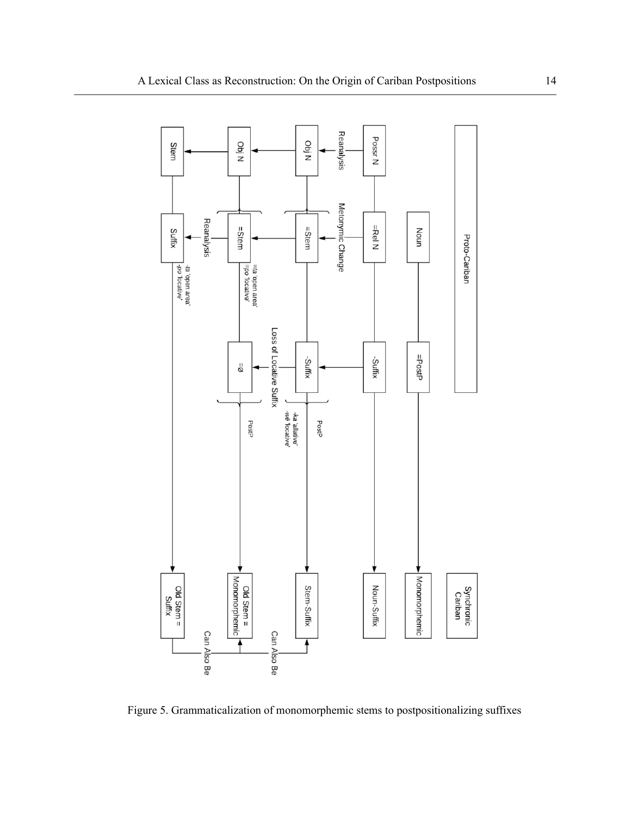

Figure 5. Grammaticalization of monomorphemic stems to postpositionalizing suffixes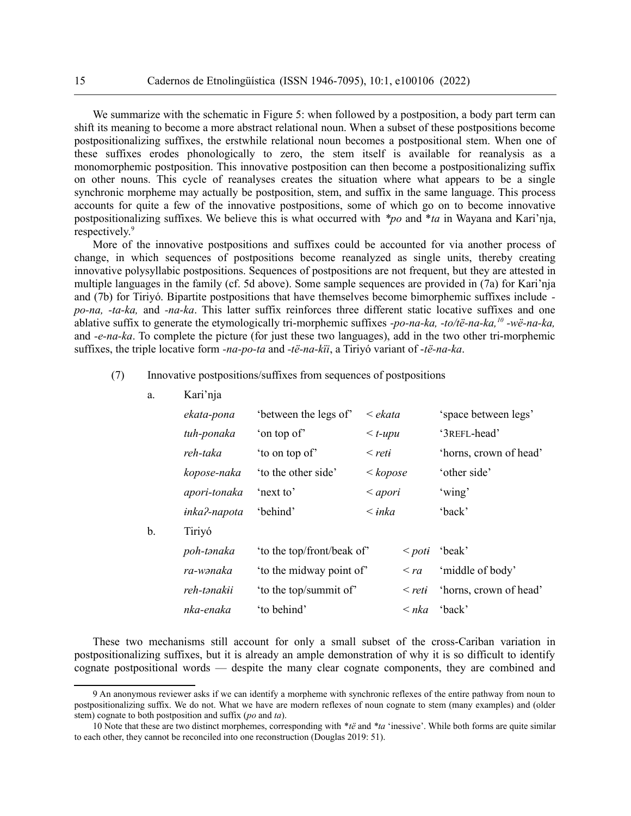We summarize with the schematic in Figure 5: when followed by a postposition, a body part term can shift its meaning to become a more abstract relational noun. When a subset of these postpositions become postpositionalizing suffixes, the erstwhile relational noun becomes a postpositional stem. When one of these suffixes erodes phonologically to zero, the stem itself is available for reanalysis as a monomorphemic postposition. This innovative postposition can then become a postpositionalizing suffix on other nouns. This cycle of reanalyses creates the situation where what appears to be a single synchronic morpheme may actually be postposition, stem, and suffix in the same language. This process accounts for quite a few of the innovative postpositions, some of which go on to become innovative postpositionalizing suffixes. We believe this is what occurred with *\*po* and \**ta* in Wayana and Kari'nja, respectively.<sup>[9](#page-14-1)</sup>

<span id="page-14-0"></span>More of the innovative postpositions and suffixes could be accounted for via another process of change, in which sequences of postpositions become reanalyzed as single units, thereby creating innovative polysyllabic postpositions. Sequences of postpositions are not frequent, but they are attested in multiple languages in the family (cf. 5d above). Some sample sequences are provided in (7a) for Kari'nja and (7b) for Tiriyó. Bipartite postpositions that have themselves become bimorphemic suffixes include  *po-na, -ta-ka,* and *-na-ka*. This latter suffix reinforces three different static locative suffixes and one ablative suffix to generate the etymologically tri-morphemic suffixes *-po-na-ka, -to/të-na-ka,[10](#page-14-3) -wë-na-ka,* and *-e-na-ka*. To complete the picture (for just these two languages), add in the two other tri-morphemic suffixes, the triple locative form *-na-po-ta* and *-të-na-kïi*, a Tiriyó variant of -*të-na-ka*.

#### (7) Innovative postpositions/suffixes from sequences of postpositions

<span id="page-14-2"></span>a. Kari'nja

|    | ekata-pona   | 'between the legs of'      | $\leq$ ekata    |                | 'space between legs'   |
|----|--------------|----------------------------|-----------------|----------------|------------------------|
|    | tuh-ponaka   | 'on top of'                | $\leq t$ -upu   |                | '3REFL-head'           |
|    | reh-taka     | 'to on top of'             | $\le$ reti      |                | 'horns, crown of head' |
|    | kopose-naka  | 'to the other side'        | < kopose        |                | 'other side'           |
|    | apori-tonaka | 'next to'                  | $\langle$ apori |                | 'wing'                 |
|    | inka?-napota | 'behind'                   | $\langle$ inka  |                | 'back'                 |
| b. | Tiriyó       |                            |                 |                |                        |
|    | poh-tənaka   | 'to the top/front/beak of' |                 | $\langle$ poti | 'beak'                 |
|    | ra-wənaka    | 'to the midway point of'   |                 | $\langle ra$   | 'middle of body'       |
|    | reh-tənakii  | 'to the top/summit of'     |                 | $\le$ reti     | 'horns, crown of head' |
|    | nka-enaka    | 'to behind'                |                 | $\leq nka$     | 'back'                 |
|    |              |                            |                 |                |                        |

These two mechanisms still account for only a small subset of the cross-Cariban variation in postpositionalizing suffixes, but it is already an ample demonstration of why it is so difficult to identify cognate postpositional words — despite the many clear cognate components, they are combined and

<span id="page-14-1"></span>[<sup>9</sup>](#page-14-0) An anonymous reviewer asks if we can identify a morpheme with synchronic reflexes of the entire pathway from noun to postpositionalizing suffix. We do not. What we have are modern reflexes of noun cognate to stem (many examples) and (older stem) cognate to both postposition and suffix (*po* and *ta*).

<span id="page-14-3"></span>[<sup>10</sup>](#page-14-2) Note that these are two distinct morphemes, corresponding with \**të* and *\*ta* 'inessive'. While both forms are quite similar to each other, they cannot be reconciled into one reconstruction (Douglas 2019: 51).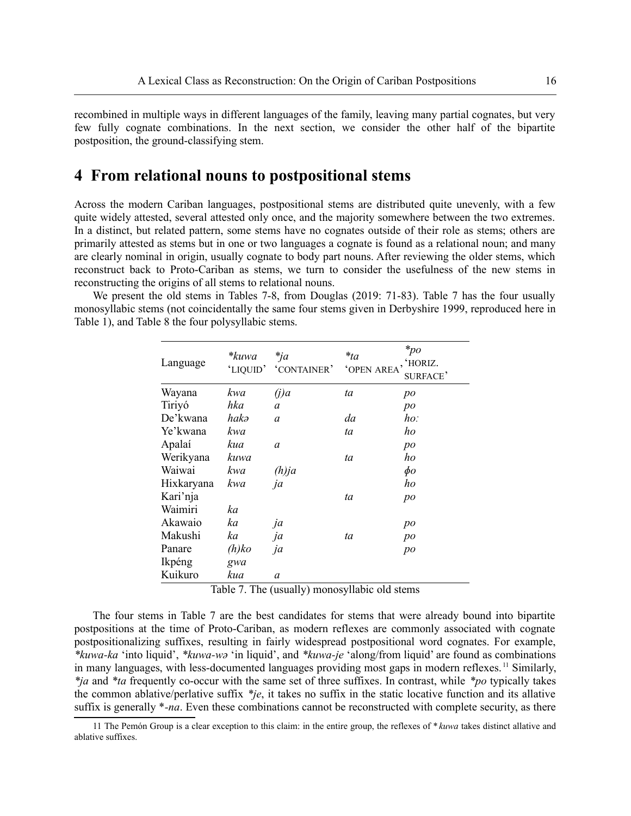recombined in multiple ways in different languages of the family, leaving many partial cognates, but very few fully cognate combinations. In the next section, we consider the other half of the bipartite postposition, the ground-classifying stem.

## **4 From relational nouns to postpositional stems**

Across the modern Cariban languages, postpositional stems are distributed quite unevenly, with a few quite widely attested, several attested only once, and the majority somewhere between the two extremes. In a distinct, but related pattern, some stems have no cognates outside of their role as stems; others are primarily attested as stems but in one or two languages a cognate is found as a relational noun; and many are clearly nominal in origin, usually cognate to body part nouns. After reviewing the older stems, which reconstruct back to Proto-Cariban as stems, we turn to consider the usefulness of the new stems in reconstructing the origins of all stems to relational nouns.

We present the old stems in Tables 7-8, from Douglas (2019: 71-83). Table 7 has the four usually monosyllabic stems (not coincidentally the same four stems given in Derbyshire 1999, reproduced here in Table 1), and Table 8 the four polysyllabic stems.

| Language   | *kuwa<br>'LIQUID' | $*_{ja}$<br>'CONTAINER' | $*_{ta}$<br><b>OPEN AREA</b> | $*_{po}$<br>, 'HORIZ.<br>SURFACE' |
|------------|-------------------|-------------------------|------------------------------|-----------------------------------|
| Wayana     | kwa               | (i)a                    | ta                           | po                                |
| Tiriyó     | hka               | a                       |                              | po                                |
| De'kwana   | hakə              | a                       | da                           | ho:                               |
| Ye'kwana   | kwa               |                         | ta                           | ho                                |
| Apalaí     | kua               | a                       |                              | po                                |
| Werikyana  | kuwa              |                         | ta                           | ho                                |
| Waiwai     | kwa               | $(h)$ ja                |                              | $\phi$ o                          |
| Hixkaryana | kwa               | ja                      |                              | ho                                |
| Kari'nja   |                   |                         | ta                           | po                                |
| Waimiri    | ka                |                         |                              |                                   |
| Akawaio    | ka                | ja                      |                              | po                                |
| Makushi    | ka                | ja                      | ta                           | po                                |
| Panare     | $(h)$ ko          | ja                      |                              | po                                |
| Ikpéng     | gwa               |                         |                              |                                   |
| Kuikuro    | kua               | a                       |                              |                                   |

<span id="page-15-0"></span>Table 7. The (usually) monosyllabic old stems

The four stems in Table 7 are the best candidates for stems that were already bound into bipartite postpositions at the time of Proto-Cariban, as modern reflexes are commonly associated with cognate postpositionalizing suffixes, resulting in fairly widespread postpositional word cognates. For example, *\*kuwa-ka* 'into liquid', *\*kuwa-wə* 'in liquid', and *\*kuwa-je* 'along/from liquid' are found as combinations in many languages, with less-documented languages providing most gaps in modern reflexes.<sup>[11](#page-15-1)</sup> Similarly, *\*ja* and *\*ta* frequently co-occur with the same set of three suffixes. In contrast, while *\*po* typically takes the common ablative/perlative suffix *\*je*, it takes no suffix in the static locative function and its allative suffix is generally \**-na*. Even these combinations cannot be reconstructed with complete security, as there

<span id="page-15-1"></span>[<sup>11</sup>](#page-15-0) The Pemón Group is a clear exception to this claim: in the entire group, the reflexes of \**kuwa* takes distinct allative and ablative suffixes.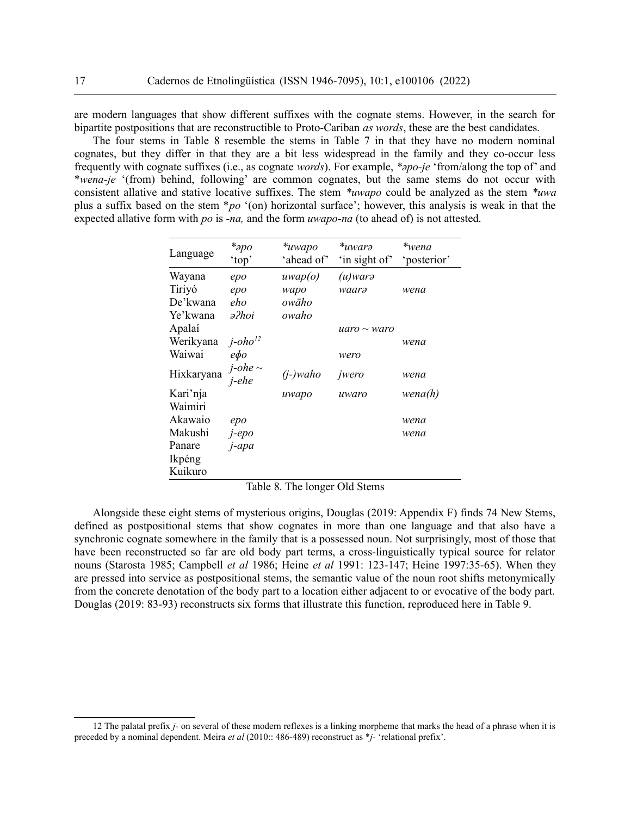are modern languages that show different suffixes with the cognate stems. However, in the search for bipartite postpositions that are reconstructible to Proto-Cariban *as words*, these are the best candidates.

The four stems in Table 8 resemble the stems in Table 7 in that they have no modern nominal cognates, but they differ in that they are a bit less widespread in the family and they co-occur less frequently with cognate suffixes (i.e., as cognate *words*). For example, *\*əpo-je* 'from/along the top of' and \**wena-je* '(from) behind, following' are common cognates, but the same stems do not occur with consistent allative and stative locative suffixes. The stem *\*uwapo* could be analyzed as the stem *\*uwa* plus a suffix based on the stem \**po* '(on) horizontal surface'; however, this analysis is weak in that the expected allative form with *po* is *-na,* and the form *uwapo-na* (to ahead of) is not attested.

<span id="page-16-0"></span>

| Language   | $*_{\partial}$ po<br>'top'  | *uwapo<br>'ahead of' | *uwarə<br>'in sight of' | *wena<br>'posterior' |
|------------|-----------------------------|----------------------|-------------------------|----------------------|
| Wayana     | epo                         | uwap(o)              | (u)warə                 |                      |
| Tiriyó     | epo                         | wapo                 | waarə                   | wena                 |
| De'kwana   | eho                         | owāho                |                         |                      |
| Ye'kwana   | ə?hoi                       | owaho                |                         |                      |
| Apalaí     |                             |                      | $uaro \sim waro$        |                      |
| Werikyana  | $j$ -oho <sup>12</sup>      |                      |                         | wena                 |
| Waiwai     | ефо                         |                      | wero                    |                      |
| Hixkaryana | $j$ -ohe $\sim$<br>$i$ -ehe | $(i-)$ waho          | jwero                   | wena                 |
| Kari'nja   |                             | uwapo                | uwaro                   | wena(h)              |
| Waimiri    |                             |                      |                         |                      |
| Akawaio    | epo                         |                      |                         | wena                 |
| Makushi    | $J$ -epo                    |                      |                         | wena                 |
| Panare     | j-apa                       |                      |                         |                      |
| Ikpéng     |                             |                      |                         |                      |
| Kuikuro    |                             |                      |                         |                      |

Table 8. The longer Old Stems

Alongside these eight stems of mysterious origins, Douglas (2019: Appendix F) finds 74 New Stems, defined as postpositional stems that show cognates in more than one language and that also have a synchronic cognate somewhere in the family that is a possessed noun. Not surprisingly, most of those that have been reconstructed so far are old body part terms, a cross-linguistically typical source for relator nouns (Starosta 1985; Campbell *et al* 1986; Heine *et al* 1991: 123-147; Heine 1997:35-65). When they are pressed into service as postpositional stems, the semantic value of the noun root shifts metonymically from the concrete denotation of the body part to a location either adjacent to or evocative of the body part. Douglas (2019: 83-93) reconstructs six forms that illustrate this function, reproduced here in Table 9.

<span id="page-16-1"></span>[<sup>12</sup>](#page-16-0) The palatal prefix *j-* on several of these modern reflexes is a linking morpheme that marks the head of a phrase when it is preceded by a nominal dependent. Meira *et al* (2010:: 486-489) reconstruct as \**j-* 'relational prefix'.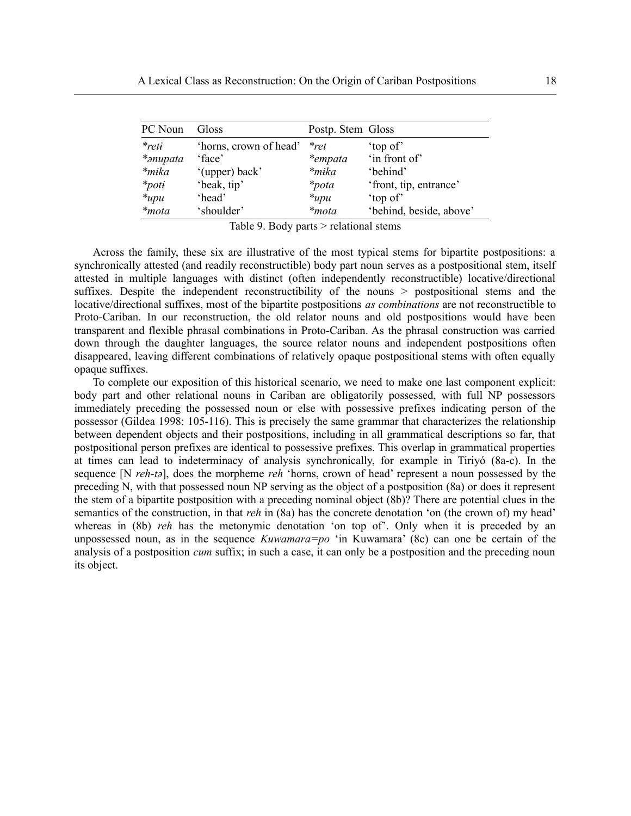| PC Noun    | Gloss                  | Postp. Stem Gloss |                         |
|------------|------------------------|-------------------|-------------------------|
| $*$ reti   | 'horns, crown of head' | $*_{ret}$         | 'top of'                |
| *anupata   | 'face'                 | *empata           | 'in front of'           |
| $*$ mika   | '(upper) back'         | *mika             | 'behind'                |
| $*_{poti}$ | 'beak, tip'            | <i>*pota</i>      | 'front, tip, entrance'  |
| $*_{upu}$  | 'head'                 | $*_{upu}$         | 'top of'                |
| *mota      | 'shoulder'             | *mota             | 'behind, beside, above' |

Table 9. Body parts > relational stems

Across the family, these six are illustrative of the most typical stems for bipartite postpositions: a synchronically attested (and readily reconstructible) body part noun serves as a postpositional stem, itself attested in multiple languages with distinct (often independently reconstructible) locative/directional suffixes. Despite the independent reconstructibility of the nouns > postpositional stems and the locative/directional suffixes, most of the bipartite postpositions *as combinations* are not reconstructible to Proto-Cariban. In our reconstruction, the old relator nouns and old postpositions would have been transparent and flexible phrasal combinations in Proto-Cariban. As the phrasal construction was carried down through the daughter languages, the source relator nouns and independent postpositions often disappeared, leaving different combinations of relatively opaque postpositional stems with often equally opaque suffixes.

To complete our exposition of this historical scenario, we need to make one last component explicit: body part and other relational nouns in Cariban are obligatorily possessed, with full NP possessors immediately preceding the possessed noun or else with possessive prefixes indicating person of the possessor (Gildea 1998: 105-116). This is precisely the same grammar that characterizes the relationship between dependent objects and their postpositions, including in all grammatical descriptions so far, that postpositional person prefixes are identical to possessive prefixes. This overlap in grammatical properties at times can lead to indeterminacy of analysis synchronically, for example in Tiriyó (8a-c). In the sequence [N *reh-tə*], does the morpheme *reh* 'horns, crown of head' represent a noun possessed by the preceding N, with that possessed noun NP serving as the object of a postposition (8a) or does it represent the stem of a bipartite postposition with a preceding nominal object (8b)? There are potential clues in the semantics of the construction, in that *reh* in (8a) has the concrete denotation 'on (the crown of) my head' whereas in (8b) *reh* has the metonymic denotation 'on top of'. Only when it is preceded by an unpossessed noun, as in the sequence *Kuwamara=po* 'in Kuwamara' (8c) can one be certain of the analysis of a postposition *cum* suffix; in such a case, it can only be a postposition and the preceding noun its object.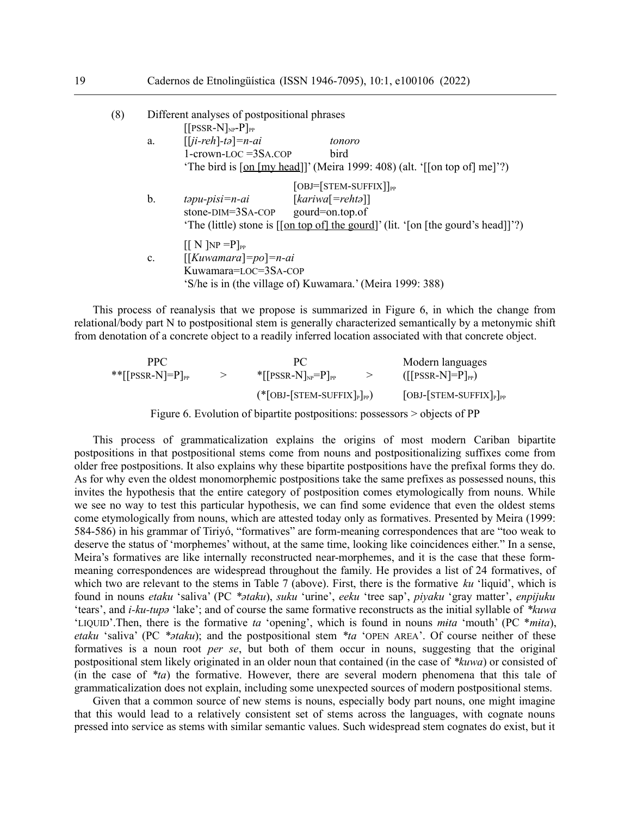| tonoro                                                                                                                                                                             |  |  |  |
|------------------------------------------------------------------------------------------------------------------------------------------------------------------------------------|--|--|--|
| bird                                                                                                                                                                               |  |  |  |
| 'The bird is $\lceil \text{on} \rceil \lfloor \text{my head} \rfloor \rceil$ ' (Meira 1999: 408) (alt. ' $\lceil \text{on top of} \rceil \text{me} \rceil$ '?)                     |  |  |  |
| $[OBI = [STEM-SUFFIX]]_{pp}$<br>$[kariva[=rehta]]$<br>stone- $DIM = 3SA$ -COP gourd=on.top.of<br>'The (little) stone is [[on top of] the gourd]' (lit. '[on [the gourd's head]]'?) |  |  |  |
| 'S/he is in (the village of) Kuwamara.' (Meira 1999: 388)                                                                                                                          |  |  |  |
|                                                                                                                                                                                    |  |  |  |

This process of reanalysis that we propose is summarized in Figure 6, in which the change from relational/body part N to postpositional stem is generally characterized semantically by a metonymic shift from denotation of a concrete object to a readily inferred location associated with that concrete object.

| <b>PPC</b>                                              |                                                        | Modern languages                                      |
|---------------------------------------------------------|--------------------------------------------------------|-------------------------------------------------------|
| ** $\lceil \text{PSSR-N} \rceil = P \rceil_{\text{PP}}$ | $\left[\text{PSSR-N}\right]_{\text{NP}}=P_{\text{PP}}$ | $(\lceil$ [PSSR-N]=P] <sub>PP</sub> )                 |
|                                                         | $(*[OBI-[STEM-SUFFIX]_{P}]_{PP})$                      | $[OBI STEM-SUFFIX$ $]$ <sub>P</sub> $]$ <sub>PP</sub> |

Figure 6. Evolution of bipartite postpositions: possessors > objects of PP

This process of grammaticalization explains the origins of most modern Cariban bipartite postpositions in that postpositional stems come from nouns and postpositionalizing suffixes come from older free postpositions. It also explains why these bipartite postpositions have the prefixal forms they do. As for why even the oldest monomorphemic postpositions take the same prefixes as possessed nouns, this invites the hypothesis that the entire category of postposition comes etymologically from nouns. While we see no way to test this particular hypothesis, we can find some evidence that even the oldest stems come etymologically from nouns, which are attested today only as formatives. Presented by Meira (1999: 584-586) in his grammar of Tiriyó, "formatives" are form-meaning correspondences that are "too weak to deserve the status of 'morphemes' without, at the same time, looking like coincidences either." In a sense, Meira's formatives are like internally reconstructed near-morphemes, and it is the case that these formmeaning correspondences are widespread throughout the family. He provides a list of 24 formatives, of which two are relevant to the stems in Table 7 (above). First, there is the formative *ku* 'liquid', which is found in nouns *etaku* 'saliva' (PC *\*ətaku*), *suku* 'urine', *eeku* 'tree sap', *piyaku* 'gray matter', *enpijuku* 'tears', and *i-ku-tupə* 'lake'; and of course the same formative reconstructs as the initial syllable of *\*kuwa* 'LIQUID'.Then, there is the formative *ta* 'opening', which is found in nouns *mɨta* 'mouth' (PC \**mɨta*), *etaku* 'saliva' (PC *\*ətaku*); and the postpositional stem *\*ta* 'OPEN AREA'. Of course neither of these formatives is a noun root *per se*, but both of them occur in nouns, suggesting that the original postpositional stem likely originated in an older noun that contained (in the case of *\*kuwa*) or consisted of (in the case of *\*ta*) the formative. However, there are several modern phenomena that this tale of grammaticalization does not explain, including some unexpected sources of modern postpositional stems.

Given that a common source of new stems is nouns, especially body part nouns, one might imagine that this would lead to a relatively consistent set of stems across the languages, with cognate nouns pressed into service as stems with similar semantic values. Such widespread stem cognates do exist, but it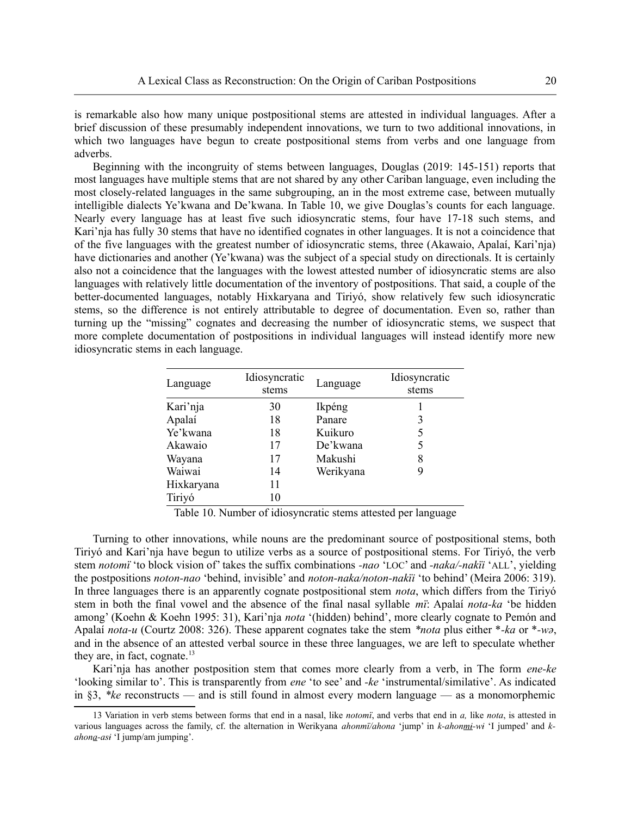is remarkable also how many unique postpositional stems are attested in individual languages. After a brief discussion of these presumably independent innovations, we turn to two additional innovations, in which two languages have begun to create postpositional stems from verbs and one language from adverbs.

Beginning with the incongruity of stems between languages, Douglas (2019: 145-151) reports that most languages have multiple stems that are not shared by any other Cariban language, even including the most closely-related languages in the same subgrouping, an in the most extreme case, between mutually intelligible dialects Ye'kwana and De'kwana. In Table 10, we give Douglas's counts for each language. Nearly every language has at least five such idiosyncratic stems, four have 17-18 such stems, and Kari'nja has fully 30 stems that have no identified cognates in other languages. It is not a coincidence that of the five languages with the greatest number of idiosyncratic stems, three (Akawaio, Apalaí, Kari'nja) have dictionaries and another (Ye'kwana) was the subject of a special study on directionals. It is certainly also not a coincidence that the languages with the lowest attested number of idiosyncratic stems are also languages with relatively little documentation of the inventory of postpositions. That said, a couple of the better-documented languages, notably Hixkaryana and Tiriyó, show relatively few such idiosyncratic stems, so the difference is not entirely attributable to degree of documentation. Even so, rather than turning up the "missing" cognates and decreasing the number of idiosyncratic stems, we suspect that more complete documentation of postpositions in individual languages will instead identify more new idiosyncratic stems in each language.

| Language   | Idiosyncratic<br>stems | Language  | Idiosyncratic<br>stems |
|------------|------------------------|-----------|------------------------|
| Kari'nja   | 30                     | Ikpéng    |                        |
| Apalaí     | 18                     | Panare    |                        |
| Ye'kwana   | 18                     | Kuikuro   | 5                      |
| Akawaio    | 17                     | De'kwana  |                        |
| Wayana     | 17                     | Makushi   | 8                      |
| Waiwai     | 14                     | Werikyana |                        |
| Hixkaryana | 11                     |           |                        |
| Tiriyó     | 10                     |           |                        |

Table 10. Number of idiosyncratic stems attested per language

Turning to other innovations, while nouns are the predominant source of postpositional stems, both Tiriyó and Kari'nja have begun to utilize verbs as a source of postpositional stems. For Tiriyó, the verb stem *notomï* 'to block vision of' takes the suffix combinations *-nao* 'LOC' and *-naka/-nakïi* 'ALL', yielding the postpositions *noton-nao* 'behind, invisible' and *noton-naka/noton-nakïi* 'to behind' (Meira 2006: 319). In three languages there is an apparently cognate postpositional stem *nota*, which differs from the Tiriyó stem in both the final vowel and the absence of the final nasal syllable *mï*: Apalaí *nota-ka* 'be hidden among' (Koehn & Koehn 1995: 31), Kari'nja *nota* '(hidden) behind', more clearly cognate to Pemón and Apalaí *nota-u* (Courtz 2008: 326). These apparent cognates take the stem *\*nota* plus either \**-ka* or \**-wə*, and in the absence of an attested verbal source in these three languages, we are left to speculate whether they are, in fact, cognate. $^{13}$  $^{13}$  $^{13}$ 

<span id="page-19-0"></span>Kari'nja has another postposition stem that comes more clearly from a verb, in The form *ene-ke* 'looking similar to'. This is transparently from *ene* 'to see' and *-ke* 'instrumental/similative'. As indicated in §3, *\*ke* reconstructs — and is still found in almost every modern language — as a monomorphemic

<span id="page-19-1"></span>[<sup>13</sup>](#page-19-0) Variation in verb stems between forms that end in a nasal, like *notomï*, and verbs that end in *a,* like *nota*, is attested in various languages across the family, cf. the alternation in Werikyana *ahonmï/ahona* 'jump' in *k-ahonmɨ-wɨ* 'I jumped' and *kahona-asɨ* 'I jump/am jumping'.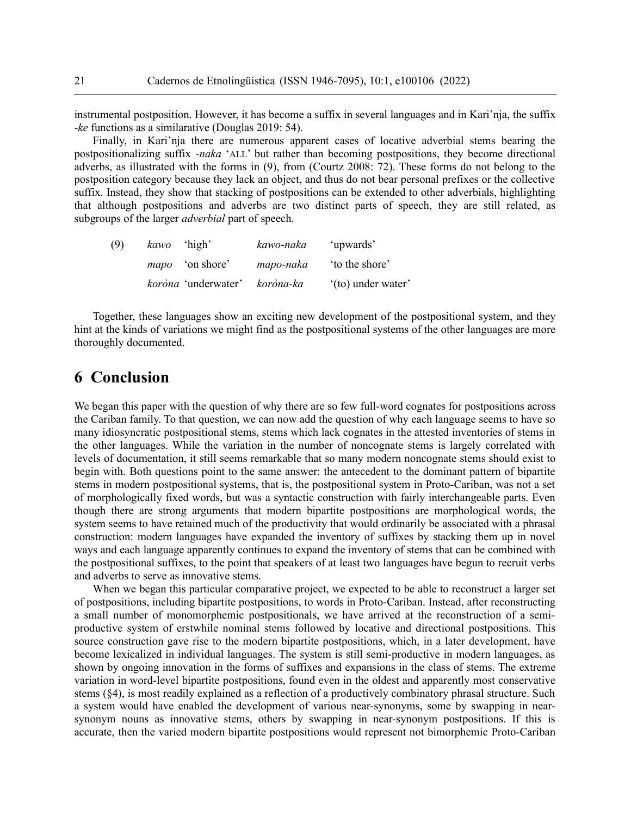instrumental postposition. However, it has become a suffix in several languages and in Kari'nja, the suffix *-ke* functions as a similarative (Douglas 2019: 54).

Finally, in Kari'nja there are numerous apparent cases of locative adverbial stems bearing the postpositionalizing suffix *-naka* 'ALL' but rather than becoming postpositions, they become directional adverbs, as illustrated with the forms in (9), from (Courtz 2008: 72). These forms do not belong to the postposition category because they lack an object, and thus do not bear personal prefixes or the collective suffix. Instead, they show that stacking of postpositions can be extended to other adverbials, highlighting that although postpositions and adverbs are two distinct parts of speech, they are still related, as subgroups of the larger *adverbial* part of speech.

| (9) | kawo 'high'                   | kawo-naka | 'upwards'          |
|-----|-------------------------------|-----------|--------------------|
|     | <i>mapo</i> 'on shore'        | mapo-naka | to the shore'      |
|     | koròna 'underwater' koròna-ka |           | '(to) under water' |

Together, these languages show an exciting new development of the postpositional system, and they hint at the kinds of variations we might find as the postpositional systems of the other languages are more thoroughly documented.

## **6 Conclusion**

We began this paper with the question of why there are so few full-word cognates for postpositions across the Cariban family. To that question, we can now add the question of why each language seems to have so many idiosyncratic postpositional stems, stems which lack cognates in the attested inventories of stems in the other languages. While the variation in the number of noncognate stems is largely correlated with levels of documentation, it still seems remarkable that so many modern noncognate stems should exist to begin with. Both questions point to the same answer: the antecedent to the dominant pattern of bipartite stems in modern postpositional systems, that is, the postpositional system in Proto-Cariban, was not a set of morphologically fixed words, but was a syntactic construction with fairly interchangeable parts. Even though there are strong arguments that modern bipartite postpositions are morphological words, the system seems to have retained much of the productivity that would ordinarily be associated with a phrasal construction: modern languages have expanded the inventory of suffixes by stacking them up in novel ways and each language apparently continues to expand the inventory of stems that can be combined with the postpositional suffixes, to the point that speakers of at least two languages have begun to recruit verbs and adverbs to serve as innovative stems.

When we began this particular comparative project, we expected to be able to reconstruct a larger set of postpositions, including bipartite postpositions, to words in Proto-Cariban. Instead, after reconstructing a small number of monomorphemic postpositionals, we have arrived at the reconstruction of a semiproductive system of erstwhile nominal stems followed by locative and directional postpositions. This source construction gave rise to the modern bipartite postpositions, which, in a later development, have become lexicalized in individual languages. The system is still semi-productive in modern languages, as shown by ongoing innovation in the forms of suffixes and expansions in the class of stems. The extreme variation in word-level bipartite postpositions, found even in the oldest and apparently most conservative stems (§4), is most readily explained as a reflection of a productively combinatory phrasal structure. Such a system would have enabled the development of various near-synonyms, some by swapping in nearsynonym nouns as innovative stems, others by swapping in near-synonym postpositions. If this is accurate, then the varied modern bipartite postpositions would represent not bimorphemic Proto-Cariban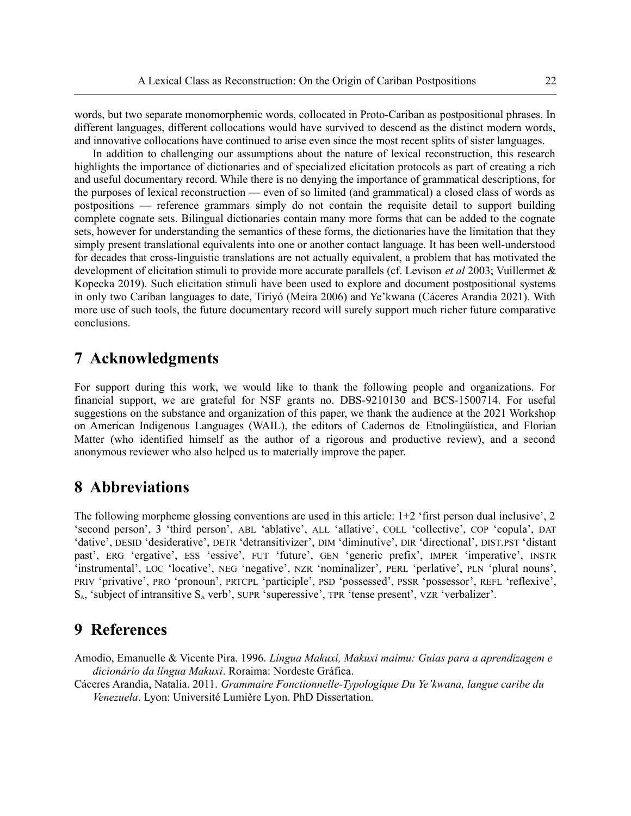words, but two separate monomorphemic words, collocated in Proto-Cariban as postpositional phrases. In different languages, different collocations would have survived to descend as the distinct modern words, and innovative collocations have continued to arise even since the most recent splits of sister languages.

In addition to challenging our assumptions about the nature of lexical reconstruction, this research highlights the importance of dictionaries and of specialized elicitation protocols as part of creating a rich and useful documentary record. While there is no denying the importance of grammatical descriptions, for the purposes of lexical reconstruction — even of so limited (and grammatical) a closed class of words as postpositions — reference grammars simply do not contain the requisite detail to support building complete cognate sets. Bilingual dictionaries contain many more forms that can be added to the cognate sets, however for understanding the semantics of these forms, the dictionaries have the limitation that they simply present translational equivalents into one or another contact language. It has been well-understood for decades that cross-linguistic translations are not actually equivalent, a problem that has motivated the development of elicitation stimuli to provide more accurate parallels (cf. Levison *et al* 2003; Vuillermet & Kopecka 2019). Such elicitation stimuli have been used to explore and document postpositional systems in only two Cariban languages to date, Tiriyó (Meira 2006) and Ye'kwana (Cáceres Arandia 2021). With more use of such tools, the future documentary record will surely support much richer future comparative conclusions.

# **7 Acknowledgments**

For support during this work, we would like to thank the following people and organizations. For financial support, we are grateful for NSF grants no. DBS-9210130 and BCS-1500714. For useful suggestions on the substance and organization of this paper, we thank the audience at the 2021 Workshop on American Indigenous Languages (WAIL), the editors of Cadernos de Etnolingüística, and Florian Matter (who identified himself as the author of a rigorous and productive review), and a second anonymous reviewer who also helped us to materially improve the paper.

### **8 Abbreviations**

The following morpheme glossing conventions are used in this article: 1+2 'first person dual inclusive', 2 'second person', 3 'third person', ABL 'ablative', ALL 'allative', COLL 'collective', COP 'copula', DAT 'dative', DESID 'desiderative', DETR 'detransitivizer', DIM 'diminutive', DIR 'directional', DIST.PST 'distant past', ERG 'ergative', ESS 'essive', FUT 'future', GEN 'generic prefix', IMPER 'imperative', INSTR 'instrumental', LOC 'locative', NEG 'negative', NZR 'nominalizer', PERL 'perlative', PLN 'plural nouns', PRIV 'privative', PRO 'pronoun', PRTCPL 'participle', PSD 'possessed', PSSR 'possessor', REFL 'reflexive',  $S_A$ , 'subject of intransitive  $S_A$  verb', SUPR 'superessive', TPR 'tense present', VZR 'verbalizer'.

### **9 References**

Amodio, Emanuelle & Vicente Pira. 1996. *Língua Makuxi, Makuxi maimu: Guias para a aprendizagem e dicionário da língua Makuxi*. Roraima: Nordeste Gráfica.

Cáceres Arandia, Natalia. 2011. *Grammaire Fonctionnelle-Typologique Du Ye'kwana, langue caribe du Venezuela*. Lyon: Université Lumière Lyon. PhD Dissertation.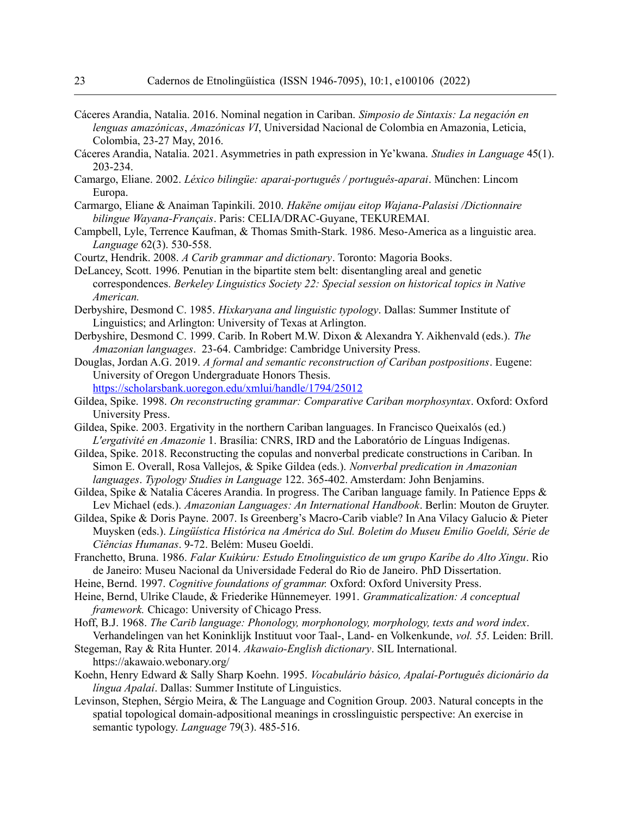- Cáceres Arandia, Natalia. 2016. Nominal negation in Cariban. *Simposio de Sintaxis: La negación en lenguas amazónicas*, *Amazónicas VI*, Universidad Nacional de Colombia en Amazonia, Leticia, Colombia, 23-27 May, 2016.
- Cáceres Arandia, Natalia. 2021. Asymmetries in path expression in Ye'kwana. *Studies in Language* 45(1). 203-234.
- Camargo, Eliane. 2002. *Léxico bilingüe: aparai-português / português-aparai*. München: Lincom Europa.
- Carmargo, Eliane & Anaiman Tapinkili. 2010. *Hakëne omijau eitop Wajana-Palasisi /Dictionnaire bilingue Wayana-Français*. Paris: CELIA/DRAC-Guyane, TEKUREMAI.
- Campbell, Lyle, Terrence Kaufman, & Thomas Smith-Stark. 1986. Meso-America as a linguistic area. *Language* 62(3). 530-558.
- Courtz, Hendrik. 2008. *A Carib grammar and dictionary*. Toronto: Magoria Books.
- DeLancey, Scott. 1996. Penutian in the bipartite stem belt: disentangling areal and genetic correspondences. *Berkeley Linguistics Society 22: Special session on historical topics in Native American.*
- Derbyshire, Desmond C. 1985. *Hixkaryana and linguistic typology*. Dallas: Summer Institute of Linguistics; and Arlington: University of Texas at Arlington.
- Derbyshire, Desmond C. 1999. Carib. In Robert M.W. Dixon & Alexandra Y. Aikhenvald (eds.). *The Amazonian languages*. 23-64. Cambridge: Cambridge University Press.

Douglas, Jordan A.G. 2019. *A formal and semantic reconstruction of Cariban postpositions*. Eugene: University of Oregon Undergraduate Honors Thesis.

<https://scholarsbank.uoregon.edu/xmlui/handle/1794/25012>

- Gildea, Spike. 1998. *On reconstructing grammar: Comparative Cariban morphosyntax*. Oxford: Oxford University Press.
- Gildea, Spike. 2003. Ergativity in the northern Cariban languages. In Francisco Queixalós (ed.) *L'ergativité en Amazonie* 1. Brasília: CNRS, IRD and the Laboratório de Línguas Indígenas.
- Gildea, Spike. 2018. Reconstructing the copulas and nonverbal predicate constructions in Cariban. In Simon E. Overall, Rosa Vallejos, & Spike Gildea (eds.). *Nonverbal predication in Amazonian languages*. *Typology Studies in Language* 122. 365-402. Amsterdam: John Benjamins.
- Gildea, Spike & Natalia Cáceres Arandia. In progress. The Cariban language family. In Patience Epps & Lev Michael (eds.). *Amazonian Languages: An International Handbook*. Berlin: Mouton de Gruyter.
- Gildea, Spike & Doris Payne. 2007. Is Greenberg's Macro-Carib viable? In Ana Vilacy Galucio & Pieter Muysken (eds.). *Lingüística Histórica na América do Sul. Boletim do Museu Emilio Goeldi, Série de Ciências Humanas*. 9-72. Belém: Museu Goeldi.
- Franchetto, Bruna. 1986. *Falar Kuikúru: Estudo Etnolinguistico de um grupo Karíbe do Alto Xingu*. Rio de Janeiro: Museu Nacional da Universidade Federal do Rio de Janeiro. PhD Dissertation.
- Heine, Bernd. 1997. *Cognitive foundations of grammar.* Oxford: Oxford University Press.
- Heine, Bernd, Ulrike Claude, & Friederike Hünnemeyer. 1991. *Grammaticalization: A conceptual framework.* Chicago: University of Chicago Press.
- Hoff, B.J. 1968. *The Carib language: Phonology, morphonology, morphology, texts and word index*. Verhandelingen van het Koninklijk Instituut voor Taal-, Land- en Volkenkunde, *vol. 55*. Leiden: Brill.
- Stegeman, Ray & Rita Hunter. 2014. *Akawaio-English dictionary*. SIL International. https://akawaio.webonary.org/
- Koehn, Henry Edward & Sally Sharp Koehn. 1995. *Vocabulário básico, Apalaí-Português dicionário da língua Apalaí*. Dallas: Summer Institute of Linguistics.
- Levinson, Stephen, Sérgio Meira, & The Language and Cognition Group. 2003. Natural concepts in the spatial topological domain-adpositional meanings in crosslinguistic perspective: An exercise in semantic typology. *Language* 79(3). 485-516.